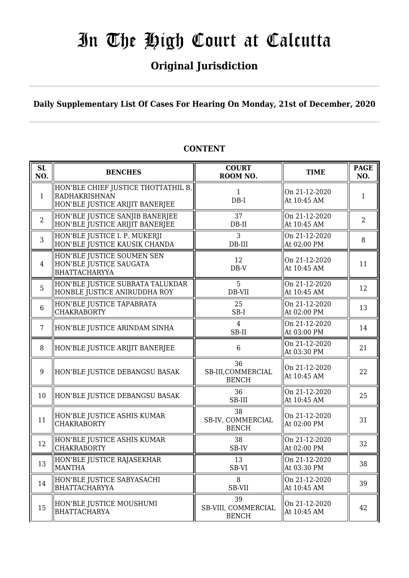### **Original Jurisdiction**

**Daily Supplementary List Of Cases For Hearing On Monday, 21st of December, 2020**

#### **SL SL BENCHES COURT**<br> **NO. BENCHES COURT ROOM NO.** TIME PAGE ROOM NO. **NO.** 1 HON'BLE CHIEF JUSTICE THOTTATHIL B. RADHAKRISHNAN HON'BLE JUSTICE ARIJIT BANERJEE 1 DB-I On 21-12-2020 At 10:45 AM  $1$ 2 HON'BLE JUSTICE SANJIB BANERJEE HON'BLE JUSTICE ARIJIT BANERJEE 37 DB-II On 21-12-2020  $\begin{array}{|c|c|c|c|c|} \hline \text{Out 21-12-2020} & & 2 \\ \hline \text{At 10:45 AM} & & 2 \\ \hline \end{array}$ 3 HON'BLE JUSTICE I. P. MUKERJI HON'BLE JUSTICE KAUSIK CHANDA 3 DB-III On 21-12-2020  $\begin{array}{|c|c|c|c|c|} \hline \text{Un 21-12-2020} & & 8 \\ \hline \text{At 02:00 PM} & & \text{ } \end{array}$ 4 HON'BLE JUSTICE SOUMEN SEN HON'BLE JUSTICE SAUGATA BHATTACHARYYA 12 DB-V On 21-12-2020  $\begin{vmatrix} 0 & 1 & 2 & -1 & 2 & -2 & 0 & 2 & 0 \\ 4 & 1 & 1 & 0 & 4 & 5 & 4 \end{vmatrix}$  11 5 HON'BLE JUSTICE SUBRATA TALUKDAR HONBLE JUSTICE ANIRUDDHA ROY 5 DB-VII On 21-12-2020 At 10:45 AM  $\begin{array}{|c|c|} \hline 12 & 12 \\ \hline \end{array}$ 6 HON'BLE JUSTICE TAPABRATA CHAKRABORTY 25 SB-I On 21-12-2020  $\begin{array}{c|c}\n\text{Out 21-12-2020} \\
\text{At 02:00 PM}\n\end{array}$  13 7 HON'BLE JUSTICE ARINDAM SINHA  $\parallel$  4 SB-II On 21-12-2020 At 03:00 PM  $\begin{array}{|l|} \hline 14 \end{array}$ 8 ||HON'BLE JUSTICE ARIJIT BANERJEE || 6 On 21-12-2020  $\begin{array}{|c|c|c|c|c|} \hline \text{Out 21-12-2020} & & 21 \\ \hline \text{At 03:30 PM} & & 21 \end{array}$ 9 HON'BLE JUSTICE DEBANGSU BASAK 36 SB-III,COMMERCIAL **BENCH** On 21-12-2020  $\begin{array}{|c|c|c|c|c|c|} \hline \text{Un 21-12-2020} & & 22 \\ \hline \text{At 10:45 AM} & & \end{array}$ 10 HON'BLE JUSTICE DEBANGSU BASAK 36 SB-III On 21-12-2020  $\begin{array}{|c|c|c|c|c|}\n\hline\n\text{At 10:45 AM} & & 25\n\end{array}$  $11$  HON'BLE JUSTICE ASHIS KUMAR CHAKRABORTY 38 SB-IV, COMMERCIAL BENCH On 21-12-2020  $\begin{array}{|c|c|c|c|c|} \hline \text{Out 21-12-2020} & & 31 \\ \hline \text{At 02:00 PM} & & 31 \end{array}$ 12 HON'BLE JUSTICE ASHIS KUMAR **CHAKRABORTY** 38 SB-IV On 21-12-2020  $\begin{array}{|c|c|c|c|c|c|} \hline \text{Out 21-12-2020} & & 32 \\ \hline \text{At 02:00 PM} & & 32 \end{array}$ 13 HON'BLE JUSTICE RAJASEKHAR MANTHA 13 SB-VI On 21-12-2020 At 03:30 PM  $\begin{array}{|l|} \hline 38 \end{array}$ 14 HON'BLE JUSTICE SABYASACHI **BHATTACHARYYA** 8 SB-VII On 21-12-2020  $\begin{array}{|c|c|c|c|c|} \hline \text{Out 21-12-2020} & & 39 \\ \hline \text{At 10:45 AM} & & 39 \end{array}$ 15 HON'BLE JUSTICE MOUSHUMI **BHATTACHARYA** 39 SB-VIII, COMMERCIAL **BENCH** On 21-12-2020  $\begin{array}{|c|c|c|c|c|c|} \hline \text{Un 21-12-2020} & & 42 \\ \hline \text{At 10:45 AM} & & \end{array}$

### **CONTENT**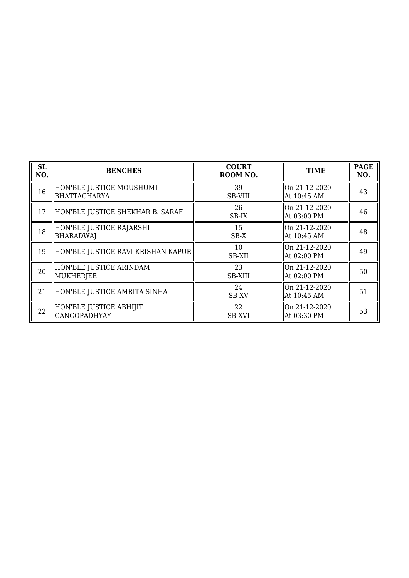| SL<br>NO. | <b>BENCHES</b>                                 | <b>COURT</b><br>ROOM NO. | <b>TIME</b>                     | <b>PAGE</b><br>NO. |
|-----------|------------------------------------------------|--------------------------|---------------------------------|--------------------|
| 16        | HON'BLE JUSTICE MOUSHUMI<br>BHATTACHARYA       | 39<br><b>SB-VIII</b>     | On 21-12-2020<br>At 10:45 AM    | 43                 |
| 17        | HON'BLE JUSTICE SHEKHAR B. SARAF               | 26<br>SB-IX              | On 21-12-2020<br>  At 03:00 PM  | 46                 |
| 18        | HON'BLE JUSTICE RAJARSHI<br>BHARADWAJ          | 15<br>$SB-X$             | lOn 21-12-2020<br>At 10:45 AM   | 48                 |
| 19        | HON'BLE JUSTICE RAVI KRISHAN KAPUR             | 10<br><b>SB-XII</b>      | On 21-12-2020<br>At 02:00 PM    | 49                 |
| 20        | HON'BLE JUSTICE ARINDAM<br>MUKHERJEE           | 23<br><b>SB-XIII</b>     | On 21-12-2020<br>  At 02:00 PM  | 50                 |
| 21        | HON'BLE JUSTICE AMRITA SINHA                   | 24<br><b>SB-XV</b>       | lOn 21-12-2020<br>  At 10:45 AM | 51                 |
| 22        | HON'BLE JUSTICE ABHIJIT<br><b>GANGOPADHYAY</b> | 22<br>SB-XVI             | On 21-12-2020<br>  At 03:30 PM  | 53                 |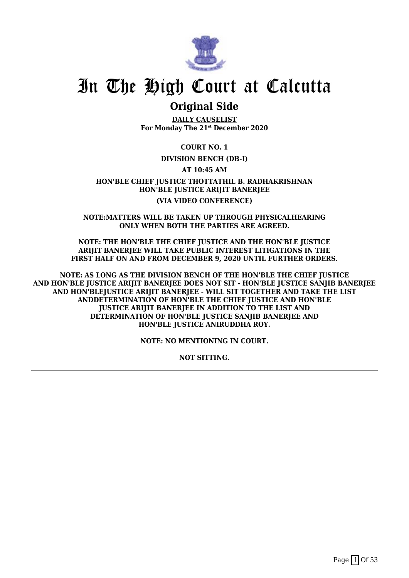

### **Original Side**

**DAILY CAUSELIST For Monday The 21st December 2020**

**COURT NO. 1**

#### **DIVISION BENCH (DB-I)**

**AT 10:45 AM**

**HON'BLE CHIEF JUSTICE THOTTATHIL B. RADHAKRISHNAN HON'BLE JUSTICE ARIJIT BANERJEE (VIA VIDEO CONFERENCE)**

**NOTE:MATTERS WILL BE TAKEN UP THROUGH PHYSICALHEARING ONLY WHEN BOTH THE PARTIES ARE AGREED.**

**NOTE: THE HON'BLE THE CHIEF JUSTICE AND THE HON'BLE JUSTICE ARIJIT BANERJEE WILL TAKE PUBLIC INTEREST LITIGATIONS IN THE FIRST HALF ON AND FROM DECEMBER 9, 2020 UNTIL FURTHER ORDERS.**

**NOTE: AS LONG AS THE DIVISION BENCH OF THE HON'BLE THE CHIEF JUSTICE AND HON'BLE JUSTICE ARIJIT BANERJEE DOES NOT SIT - HON'BLE JUSTICE SANJIB BANERJEE AND HON'BLEJUSTICE ARIJIT BANERJEE - WILL SIT TOGETHER AND TAKE THE LIST ANDDETERMINATION OF HON'BLE THE CHIEF JUSTICE AND HON'BLE JUSTICE ARIJIT BANERJEE IN ADDITION TO THE LIST AND DETERMINATION OF HON'BLE JUSTICE SANJIB BANERJEE AND HON'BLE JUSTICE ANIRUDDHA ROY.**

**NOTE: NO MENTIONING IN COURT.**

**NOT SITTING.**

Page  $\boxed{1}$  Of 53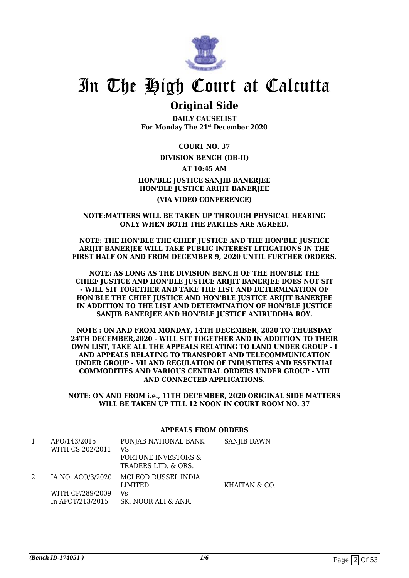

### **Original Side**

**DAILY CAUSELIST For Monday The 21st December 2020**

**COURT NO. 37**

#### **DIVISION BENCH (DB-II)**

**AT 10:45 AM**

#### **HON'BLE JUSTICE SANJIB BANERJEE HON'BLE JUSTICE ARIJIT BANERJEE (VIA VIDEO CONFERENCE)**

#### **NOTE:MATTERS WILL BE TAKEN UP THROUGH PHYSICAL HEARING ONLY WHEN BOTH THE PARTIES ARE AGREED.**

#### **NOTE: THE HON'BLE THE CHIEF JUSTICE AND THE HON'BLE JUSTICE ARIJIT BANERJEE WILL TAKE PUBLIC INTEREST LITIGATIONS IN THE FIRST HALF ON AND FROM DECEMBER 9, 2020 UNTIL FURTHER ORDERS.**

**NOTE: AS LONG AS THE DIVISION BENCH OF THE HON'BLE THE CHIEF JUSTICE AND HON'BLE JUSTICE ARIJIT BANERJEE DOES NOT SIT - WILL SIT TOGETHER AND TAKE THE LIST AND DETERMINATION OF HON'BLE THE CHIEF JUSTICE AND HON'BLE JUSTICE ARIJIT BANERJEE IN ADDITION TO THE LIST AND DETERMINATION OF HON'BLE JUSTICE SANJIB BANERJEE AND HON'BLE JUSTICE ANIRUDDHA ROY.**

**NOTE : ON AND FROM MONDAY, 14TH DECEMBER, 2020 TO THURSDAY 24TH DECEMBER,2020 - WILL SIT TOGETHER AND IN ADDITION TO THEIR OWN LIST, TAKE ALL THE APPEALS RELATING TO LAND UNDER GROUP - I AND APPEALS RELATING TO TRANSPORT AND TELECOMMUNICATION UNDER GROUP - VII AND REGULATION OF INDUSTRIES AND ESSENTIAL COMMODITIES AND VARIOUS CENTRAL ORDERS UNDER GROUP - VIII AND CONNECTED APPLICATIONS.**

**NOTE: ON AND FROM i.e., 11TH DECEMBER, 2020 ORIGINAL SIDE MATTERS WILL BE TAKEN UP TILL 12 NOON IN COURT ROOM NO. 37**

#### 1 APO/143/2015 WITH CS 202/2011 PUNJAB NATIONAL BANK VS FORTUNE INVESTORS & TRADERS LTD. & ORS. SANJIB DAWN 2 IA NO. ACO/3/2020 WITH CP/289/2009 In APOT/213/2015 MCLEOD RUSSEL INDIA LIMITED Vs SK. NOOR ALI & ANR. KHAITAN & CO.

#### **APPEALS FROM ORDERS**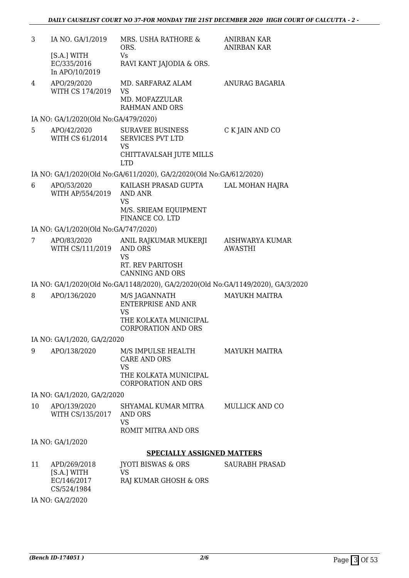| 3  | IA NO. GA/1/2019                                          | MRS. USHA RATHORE &<br>ORS.                                                                                    | <b>ANIRBAN KAR</b><br><b>ANIRBAN KAR</b> |
|----|-----------------------------------------------------------|----------------------------------------------------------------------------------------------------------------|------------------------------------------|
|    | [S.A.] WITH<br>EC/335/2016<br>In APO/10/2019              | Vs<br>RAVI KANT JAJODIA & ORS.                                                                                 |                                          |
| 4  | APO/29/2020<br>WITH CS 174/2019                           | MD. SARFARAZ ALAM<br><b>VS</b><br>MD. MOFAZZULAR<br><b>RAHMAN AND ORS</b>                                      | ANURAG BAGARIA                           |
|    | IA NO: GA/1/2020(Old No:GA/479/2020)                      |                                                                                                                |                                          |
| 5. | APO/42/2020<br>WITH CS 61/2014                            | <b>SURAVEE BUSINESS</b><br><b>SERVICES PVT LTD</b><br><b>VS</b><br>CHITTAVALSAH JUTE MILLS                     | C K JAIN AND CO                          |
|    |                                                           | <b>LTD</b><br>IA NO: GA/1/2020(Old No:GA/611/2020), GA/2/2020(Old No:GA/612/2020)                              |                                          |
| 6  | APO/53/2020                                               | KAILASH PRASAD GUPTA                                                                                           | LAL MOHAN HAJRA                          |
|    | WITH AP/554/2019                                          | AND ANR<br><b>VS</b><br>M/S. SRIEAM EQUIPMENT<br>FINANCE CO. LTD                                               |                                          |
|    | IA NO: GA/1/2020(Old No:GA/747/2020)                      |                                                                                                                |                                          |
| 7  | APO/83/2020<br>WITH CS/111/2019                           | ANIL RAJKUMAR MUKERJI<br><b>AND ORS</b><br><b>VS</b><br>RT. REV PARITOSH<br><b>CANNING AND ORS</b>             | AISHWARYA KUMAR<br><b>AWASTHI</b>        |
|    |                                                           | IA NO: GA/1/2020(Old No:GA/1148/2020), GA/2/2020(Old No:GA/1149/2020), GA/3/2020                               |                                          |
| 8  | APO/136/2020                                              | M/S JAGANNATH<br><b>ENTERPRISE AND ANR</b><br><b>VS</b><br>THE KOLKATA MUNICIPAL<br><b>CORPORATION AND ORS</b> | <b>MAYUKH MAITRA</b>                     |
|    | IA NO: GA/1/2020, GA/2/2020                               |                                                                                                                |                                          |
| 9  | APO/138/2020                                              | M/S IMPULSE HEALTH<br><b>CARE AND ORS</b><br><b>VS</b><br>THE KOLKATA MUNICIPAL<br><b>CORPORATION AND ORS</b>  | <b>MAYUKH MAITRA</b>                     |
|    | IA NO: GA/1/2020, GA/2/2020                               |                                                                                                                |                                          |
| 10 | APO/139/2020<br>WITH CS/135/2017                          | SHYAMAL KUMAR MITRA<br>AND ORS<br>VS<br>ROMIT MITRA AND ORS                                                    | <b>MULLICK AND CO</b>                    |
|    | IA NO: GA/1/2020                                          |                                                                                                                |                                          |
|    |                                                           | <b>SPECIALLY ASSIGNED MATTERS</b>                                                                              |                                          |
| 11 | APD/269/2018<br>[S.A.] WITH<br>EC/146/2017<br>CS/524/1984 | <b>JYOTI BISWAS &amp; ORS</b><br>VS<br>RAJ KUMAR GHOSH & ORS                                                   | <b>SAURABH PRASAD</b>                    |

IA NO: GA/2/2020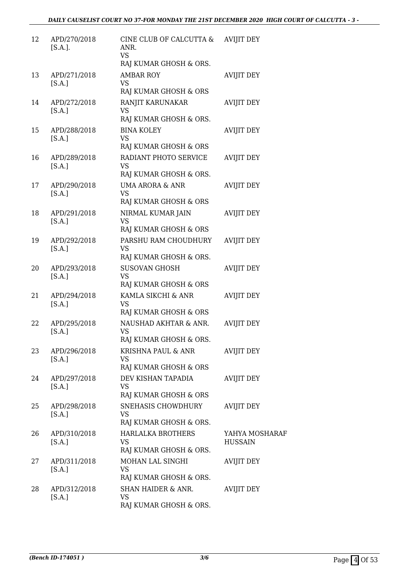| 12 | APD/270/2018<br>$[S.A.]$ . | CINE CLUB OF CALCUTTA &<br>ANR.<br><b>VS</b><br>RAJ KUMAR GHOSH & ORS. | <b>AVIJIT DEY</b>                |
|----|----------------------------|------------------------------------------------------------------------|----------------------------------|
| 13 | APD/271/2018<br>[S.A.]     | <b>AMBAR ROY</b><br><b>VS</b><br>RAJ KUMAR GHOSH & ORS                 | <b>AVIJIT DEY</b>                |
| 14 | APD/272/2018<br>[S.A.]     | RANJIT KARUNAKAR<br><b>VS</b><br>RAJ KUMAR GHOSH & ORS.                | <b>AVIJIT DEY</b>                |
| 15 | APD/288/2018<br>[S.A.]     | <b>BINA KOLEY</b><br>VS<br>RAJ KUMAR GHOSH & ORS                       | <b>AVIJIT DEY</b>                |
| 16 | APD/289/2018<br>[S.A.]     | RADIANT PHOTO SERVICE<br>VS<br>RAJ KUMAR GHOSH & ORS.                  | <b>AVIJIT DEY</b>                |
| 17 | APD/290/2018<br>[S.A.]     | <b>UMA ARORA &amp; ANR</b><br><b>VS</b><br>RAJ KUMAR GHOSH & ORS       | <b>AVIJIT DEY</b>                |
| 18 | APD/291/2018<br>[S.A.]     | NIRMAL KUMAR JAIN<br><b>VS</b><br>RAJ KUMAR GHOSH & ORS                | <b>AVIJIT DEY</b>                |
| 19 | APD/292/2018<br>[S.A.]     | PARSHU RAM CHOUDHURY<br><b>VS</b><br>RAJ KUMAR GHOSH & ORS.            | <b>AVIJIT DEY</b>                |
| 20 | APD/293/2018<br>[S.A.]     | <b>SUSOVAN GHOSH</b><br><b>VS</b><br>RAJ KUMAR GHOSH & ORS             | <b>AVIJIT DEY</b>                |
| 21 | APD/294/2018<br>[S.A.]     | KAMLA SIKCHI & ANR<br>VS<br>RAJ KUMAR GHOSH & ORS                      | <b>AVIJIT DEY</b>                |
| 22 | APD/295/2018<br>[S.A.]     | NAUSHAD AKHTAR & ANR.<br><b>VS</b><br>RAJ KUMAR GHOSH & ORS.           | <b>AVIJIT DEY</b>                |
| 23 | APD/296/2018<br>[S.A.]     | KRISHNA PAUL & ANR<br>VS<br>RAJ KUMAR GHOSH & ORS                      | <b>AVIJIT DEY</b>                |
| 24 | APD/297/2018<br>[S.A.]     | DEV KISHAN TAPADIA<br><b>VS</b><br>RAJ KUMAR GHOSH & ORS               | <b>AVIJIT DEY</b>                |
| 25 | APD/298/2018<br>[S.A.]     | SNEHASIS CHOWDHURY<br>VS<br>RAJ KUMAR GHOSH & ORS.                     | <b>AVIJIT DEY</b>                |
| 26 | APD/310/2018<br>[S.A.]     | <b>HARLALKA BROTHERS</b><br>VS<br>RAJ KUMAR GHOSH & ORS.               | YAHYA MOSHARAF<br><b>HUSSAIN</b> |
| 27 | APD/311/2018<br>[S.A.]     | MOHAN LAL SINGHI<br><b>VS</b><br>RAJ KUMAR GHOSH & ORS.                | <b>AVIJIT DEY</b>                |
| 28 | APD/312/2018<br>[S.A.]     | SHAN HAIDER & ANR.<br>VS<br>RAJ KUMAR GHOSH & ORS.                     | <b>AVIJIT DEY</b>                |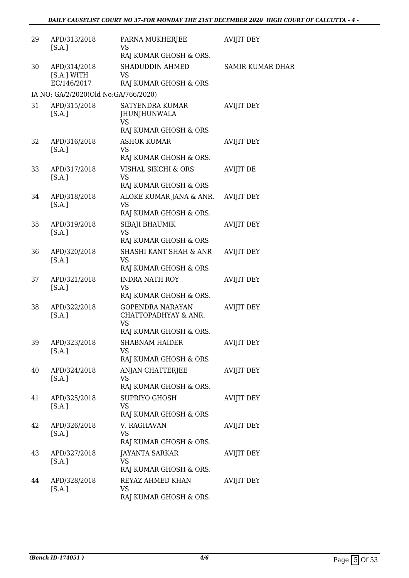| 29 | APD/313/2018<br>[S.A.]                     | PARNA MUKHERJEE<br><b>VS</b><br>RAJ KUMAR GHOSH & ORS.                                 | <b>AVIJIT DEY</b>       |
|----|--------------------------------------------|----------------------------------------------------------------------------------------|-------------------------|
| 30 | APD/314/2018<br>[S.A.] WITH<br>EC/146/2017 | SHADUDDIN AHMED<br>VS<br>RAJ KUMAR GHOSH & ORS                                         | <b>SAMIR KUMAR DHAR</b> |
|    | IA NO: GA/2/2020(Old No:GA/766/2020)       |                                                                                        |                         |
| 31 | APD/315/2018<br>[S.A.]                     | SATYENDRA KUMAR<br>JHUNJHUNWALA<br><b>VS</b><br>RAJ KUMAR GHOSH & ORS                  | <b>AVIJIT DEY</b>       |
| 32 | APD/316/2018<br>[S.A.]                     | <b>ASHOK KUMAR</b><br><b>VS</b><br>RAJ KUMAR GHOSH & ORS.                              | <b>AVIJIT DEY</b>       |
| 33 | APD/317/2018<br>[S.A.]                     | VISHAL SIKCHI & ORS<br><b>VS</b><br>RAJ KUMAR GHOSH & ORS                              | <b>AVIJIT DE</b>        |
| 34 | APD/318/2018<br>[S.A.]                     | ALOKE KUMAR JANA & ANR.<br>VS<br>RAJ KUMAR GHOSH & ORS.                                | <b>AVIJIT DEY</b>       |
| 35 | APD/319/2018<br>[S.A.]                     | SIBAJI BHAUMIK<br><b>VS</b><br>RAJ KUMAR GHOSH & ORS                                   | <b>AVIJIT DEY</b>       |
| 36 | APD/320/2018<br>[S.A.]                     | SHASHI KANT SHAH & ANR<br><b>VS</b><br>RAJ KUMAR GHOSH & ORS                           | <b>AVIJIT DEY</b>       |
| 37 | APD/321/2018<br>[S.A.]                     | <b>INDRA NATH ROY</b><br><b>VS</b><br>RAJ KUMAR GHOSH & ORS.                           | <b>AVIJIT DEY</b>       |
| 38 | APD/322/2018<br>[S.A.]                     | <b>GOPENDRA NARAYAN</b><br>CHATTOPADHYAY & ANR.<br><b>VS</b><br>RAJ KUMAR GHOSH & ORS. | <b>AVIJIT DEY</b>       |
| 39 | APD/323/2018<br>[S.A.]                     | <b>SHABNAM HAIDER</b><br>VS<br>RAJ KUMAR GHOSH & ORS                                   | AVIJIT DEY              |
| 40 | APD/324/2018<br>[S.A.]                     | ANJAN CHATTERJEE<br><b>VS</b><br>RAJ KUMAR GHOSH & ORS.                                | <b>AVIJIT DEY</b>       |
| 41 | APD/325/2018<br>[S.A.]                     | <b>SUPRIYO GHOSH</b><br><b>VS</b><br>RAJ KUMAR GHOSH & ORS                             | <b>AVIJIT DEY</b>       |
| 42 | APD/326/2018<br>[S.A.]                     | V. RAGHAVAN<br><b>VS</b><br>RAJ KUMAR GHOSH & ORS.                                     | <b>AVIJIT DEY</b>       |
| 43 | APD/327/2018<br>[S.A.]                     | JAYANTA SARKAR<br><b>VS</b><br>RAJ KUMAR GHOSH & ORS.                                  | <b>AVIJIT DEY</b>       |
| 44 | APD/328/2018<br>[S.A.]                     | REYAZ AHMED KHAN<br>VS<br>RAJ KUMAR GHOSH & ORS.                                       | <b>AVIJIT DEY</b>       |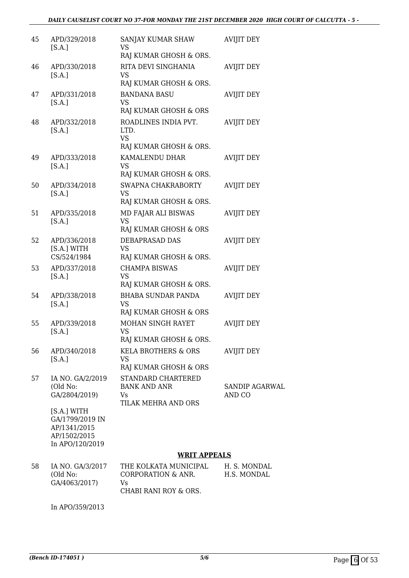| 45 | APD/329/2018<br>[S.A.]                                                            | SANJAY KUMAR SHAW<br><b>VS</b>                                         | <b>AVIJIT DEY</b>        |
|----|-----------------------------------------------------------------------------------|------------------------------------------------------------------------|--------------------------|
|    |                                                                                   | RAJ KUMAR GHOSH & ORS.                                                 |                          |
| 46 | APD/330/2018<br>[S.A.]                                                            | RITA DEVI SINGHANIA<br><b>VS</b><br>RAJ KUMAR GHOSH & ORS.             | <b>AVIJIT DEY</b>        |
| 47 | APD/331/2018<br>[S.A.]                                                            | <b>BANDANA BASU</b><br>VS<br>RAJ KUMAR GHOSH & ORS                     | <b>AVIJIT DEY</b>        |
| 48 | APD/332/2018<br>[S.A.]                                                            | ROADLINES INDIA PVT.<br>LTD.<br><b>VS</b><br>RAJ KUMAR GHOSH & ORS.    | <b>AVIJIT DEY</b>        |
| 49 | APD/333/2018<br>[S.A.]                                                            | KAMALENDU DHAR<br><b>VS</b><br>RAJ KUMAR GHOSH & ORS.                  | <b>AVIJIT DEY</b>        |
| 50 | APD/334/2018<br>[S.A.]                                                            | SWAPNA CHAKRABORTY<br><b>VS</b><br>RAJ KUMAR GHOSH & ORS.              | <b>AVIJIT DEY</b>        |
| 51 | APD/335/2018<br>[S.A.]                                                            | MD FAJAR ALI BISWAS<br><b>VS</b><br>RAJ KUMAR GHOSH & ORS              | <b>AVIJIT DEY</b>        |
| 52 | APD/336/2018<br>[S.A.] WITH<br>CS/524/1984                                        | DEBAPRASAD DAS<br>VS<br>RAJ KUMAR GHOSH & ORS.                         | <b>AVIJIT DEY</b>        |
| 53 | APD/337/2018<br>[S.A.]                                                            | <b>CHAMPA BISWAS</b><br><b>VS</b><br>RAJ KUMAR GHOSH & ORS.            | <b>AVIJIT DEY</b>        |
| 54 | APD/338/2018<br>[S.A.]                                                            | <b>BHABA SUNDAR PANDA</b><br><b>VS</b><br>RAJ KUMAR GHOSH & ORS        | <b>AVIJIT DEY</b>        |
| 55 | APD/339/2018<br>[S.A.]                                                            | MOHAN SINGH RAYET<br>VS<br>RAJ KUMAR GHOSH & ORS.                      | <b>AVIJIT DEY</b>        |
| 56 | APD/340/2018<br>[S.A.]                                                            | <b>KELA BROTHERS &amp; ORS</b><br><b>VS</b><br>RAJ KUMAR GHOSH & ORS   | <b>AVIJIT DEY</b>        |
| 57 | IA NO. GA/2/2019<br>(Old No:<br>GA/2804/2019)                                     | STANDARD CHARTERED<br><b>BANK AND ANR</b><br>Vs<br>TILAK MEHRA AND ORS | SANDIP AGARWAL<br>AND CO |
|    | [S.A.] WITH<br>GA/1799/2019 IN<br>AP/1341/2015<br>AP/1502/2015<br>In APO/120/2019 |                                                                        |                          |

#### **WRIT APPEALS**

| 58 | IA NO. GA/3/2017 | THE KOLKATA MUNICIPAL | H. S. MONDAL |
|----|------------------|-----------------------|--------------|
|    | (Old No:         | CORPORATION & ANR.    | H.S. MONDAL  |
|    | GA/4063/2017)    | V۹                    |              |
|    |                  | CHABI RANI ROY & ORS. |              |

In APO/359/2013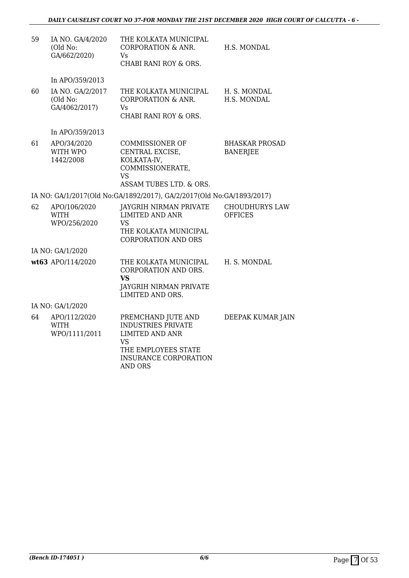| 59 | IA NO. GA/4/2020<br>(Old No:<br>GA/662/2020)  | THE KOLKATA MUNICIPAL<br><b>CORPORATION &amp; ANR.</b><br>Vs<br>CHABI RANI ROY & ORS.                                                                           | H.S. MONDAL                              |
|----|-----------------------------------------------|-----------------------------------------------------------------------------------------------------------------------------------------------------------------|------------------------------------------|
|    | In APO/359/2013                               |                                                                                                                                                                 |                                          |
| 60 | IA NO. GA/2/2017<br>(Old No:<br>GA/4062/2017) | THE KOLKATA MUNICIPAL<br><b>CORPORATION &amp; ANR.</b><br>Vs.<br>CHABI RANI ROY & ORS.                                                                          | H. S. MONDAL<br>H.S. MONDAL              |
|    | In APO/359/2013                               |                                                                                                                                                                 |                                          |
| 61 | APO/34/2020<br>WITH WPO<br>1442/2008          | <b>COMMISSIONER OF</b><br>CENTRAL EXCISE,<br>KOLKATA-IV,<br>COMMISSIONERATE,<br><b>VS</b><br>ASSAM TUBES LTD. & ORS.                                            | <b>BHASKAR PROSAD</b><br><b>BANERJEE</b> |
|    |                                               | IA NO: GA/1/2017(Old No:GA/1892/2017), GA/2/2017(Old No:GA/1893/2017)                                                                                           |                                          |
| 62 | APO/106/2020<br><b>WITH</b><br>WPO/256/2020   | JAYGRIH NIRMAN PRIVATE<br><b>LIMITED AND ANR</b><br>VS<br>THE KOLKATA MUNICIPAL<br><b>CORPORATION AND ORS</b>                                                   | <b>CHOUDHURYS LAW</b><br><b>OFFICES</b>  |
|    | IA NO: GA/1/2020                              |                                                                                                                                                                 |                                          |
|    | wt63 APO/114/2020                             | THE KOLKATA MUNICIPAL<br>CORPORATION AND ORS.<br><b>VS</b><br><b>JAYGRIH NIRMAN PRIVATE</b><br>LIMITED AND ORS.                                                 | H. S. MONDAL                             |
|    | IA NO: GA/1/2020                              |                                                                                                                                                                 |                                          |
| 64 | APO/112/2020<br><b>WITH</b><br>WPO/1111/2011  | PREMCHAND JUTE AND<br><b>INDUSTRIES PRIVATE</b><br><b>LIMITED AND ANR</b><br><b>VS</b><br>THE EMPLOYEES STATE<br><b>INSURANCE CORPORATION</b><br><b>AND ORS</b> | DEEPAK KUMAR JAIN                        |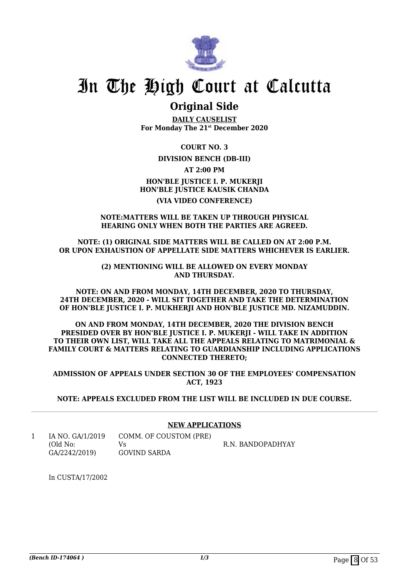

### **Original Side**

**DAILY CAUSELIST For Monday The 21st December 2020**

**COURT NO. 3**

#### **DIVISION BENCH (DB-III)**

**AT 2:00 PM**

### **HON'BLE JUSTICE I. P. MUKERJI HON'BLE JUSTICE KAUSIK CHANDA (VIA VIDEO CONFERENCE)**

#### **NOTE:MATTERS WILL BE TAKEN UP THROUGH PHYSICAL HEARING ONLY WHEN BOTH THE PARTIES ARE AGREED.**

**NOTE: (1) ORIGINAL SIDE MATTERS WILL BE CALLED ON AT 2:00 P.M. OR UPON EXHAUSTION OF APPELLATE SIDE MATTERS WHICHEVER IS EARLIER.**

> **(2) MENTIONING WILL BE ALLOWED ON EVERY MONDAY AND THURSDAY.**

**NOTE: ON AND FROM MONDAY, 14TH DECEMBER, 2020 TO THURSDAY, 24TH DECEMBER, 2020 - WILL SIT TOGETHER AND TAKE THE DETERMINATION OF HON'BLE JUSTICE I. P. MUKHERJI AND HON'BLE JUSTICE MD. NIZAMUDDIN.**

**ON AND FROM MONDAY, 14TH DECEMBER, 2020 THE DIVISION BENCH PRESIDED OVER BY HON'BLE JUSTICE I. P. MUKERJI - WILL TAKE IN ADDITION TO THEIR OWN LIST, WILL TAKE ALL THE APPEALS RELATING TO MATRIMONIAL & FAMILY COURT & MATTERS RELATING TO GUARDIANSHIP INCLUDING APPLICATIONS CONNECTED THERETO;**

**ADMISSION OF APPEALS UNDER SECTION 30 OF THE EMPLOYEES' COMPENSATION ACT, 1923**

**NOTE: APPEALS EXCLUDED FROM THE LIST WILL BE INCLUDED IN DUE COURSE.**

#### **NEW APPLICATIONS**

1 IA NO. GA/1/2019 (Old No: GA/2242/2019) COMM. OF COUSTOM (PRE)  $V<sub>c</sub>$ GOVIND SARDA R.N. BANDOPADHYAY

In CUSTA/17/2002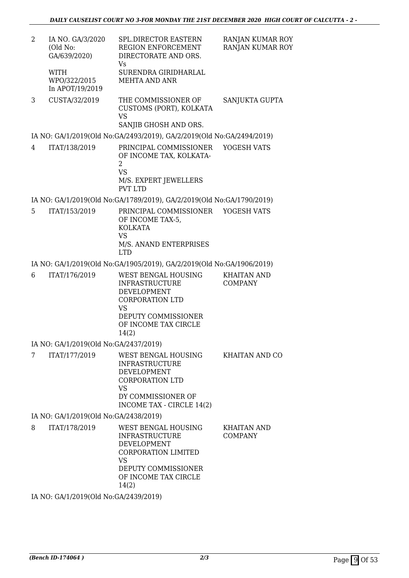2 IA NO. GA/3/2020 (Old No: GA/639/2020) WITH WPO/322/2015 In APOT/19/2019 SPL.DIRECTOR EASTERN REGION ENFORCEMENT DIRECTORATE AND ORS. Vs SURENDRA GIRIDHARLAL MEHTA AND ANR RANJAN KUMAR ROY RANJAN KUMAR ROY 3 CUSTA/32/2019 THE COMMISSIONER OF CUSTOMS (PORT), KOLKATA VS SANJIB GHOSH AND ORS. SANJUKTA GUPTA IA NO: GA/1/2019(Old No:GA/2493/2019), GA/2/2019(Old No:GA/2494/2019) 4 ITAT/138/2019 PRINCIPAL COMMISSIONER OF INCOME TAX, KOLKATA- $\overline{2}$ VS M/S. EXPERT JEWELLERS PVT LTD YOGESH VATS IA NO: GA/1/2019(Old No:GA/1789/2019), GA/2/2019(Old No:GA/1790/2019) 5 ITAT/153/2019 PRINCIPAL COMMISSIONER OF INCOME TAX-5, KOLKATA VS M/S. ANAND ENTERPRISES LTD YOGESH VATS IA NO: GA/1/2019(Old No:GA/1905/2019), GA/2/2019(Old No:GA/1906/2019) 6 ITAT/176/2019 WEST BENGAL HOUSING INFRASTRUCTURE DEVELOPMENT CORPORATION LTD VS DEPUTY COMMISSIONER OF INCOME TAX CIRCLE 14(2) KHAITAN AND COMPANY IA NO: GA/1/2019(Old No:GA/2437/2019) 7 ITAT/177/2019 WEST BENGAL HOUSING INFRASTRUCTURE DEVELOPMENT CORPORATION LTD VS DY COMMISSIONER OF INCOME TAX - CIRCLE 14(2) KHAITAN AND CO IA NO: GA/1/2019(Old No:GA/2438/2019) 8 ITAT/178/2019 WEST BENGAL HOUSING INFRASTRUCTURE DEVELOPMENT CORPORATION LIMITED VS DEPUTY COMMISSIONER OF INCOME TAX CIRCLE 14(2) KHAITAN AND COMPANY

IA NO: GA/1/2019(Old No:GA/2439/2019)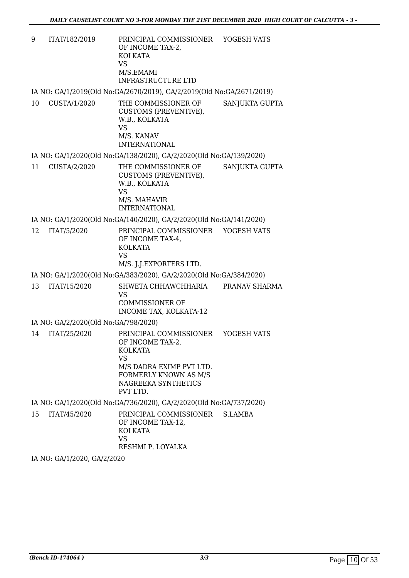9 ITAT/182/2019 PRINCIPAL COMMISSIONER OF INCOME TAX-2, KOLKATA VS M/S.EMAMI INFRASTRUCTURE LTD YOGESH VATS

IA NO: GA/1/2019(Old No:GA/2670/2019), GA/2/2019(Old No:GA/2671/2019)

10 CUSTA/1/2020 THE COMMISSIONER OF CUSTOMS (PREVENTIVE), W.B., KOLKATA VS M/S. KANAV INTERNATIONAL SANJUKTA GUPTA

IA NO: GA/1/2020(Old No:GA/138/2020), GA/2/2020(Old No:GA/139/2020)

11 CUSTA/2/2020 THE COMMISSIONER OF CUSTOMS (PREVENTIVE), W.B., KOLKATA VS M/S. MAHAVIR INTERNATIONAL SANJUKTA GUPTA

IA NO: GA/1/2020(Old No:GA/140/2020), GA/2/2020(Old No:GA/141/2020)

12 ITAT/5/2020 PRINCIPAL COMMISSIONER OF INCOME TAX-4, KOLKATA VS M/S. J.J.EXPORTERS LTD. YOGESH VATS

IA NO: GA/1/2020(Old No:GA/383/2020), GA/2/2020(Old No:GA/384/2020)

13 ITAT/15/2020 SHWETA CHHAWCHHARIA VS COMMISSIONER OF INCOME TAX, KOLKATA-12 PRANAV SHARMA

IA NO: GA/2/2020(Old No:GA/798/2020)

14 ITAT/25/2020 PRINCIPAL COMMISSIONER OF INCOME TAX-2, KOLKATA VS M/S DADRA EXIMP PVT LTD. FORMERLY KNOWN AS M/S NAGREEKA SYNTHETICS PVT LTD. YOGESH VATS

IA NO: GA/1/2020(Old No:GA/736/2020), GA/2/2020(Old No:GA/737/2020)

15 ITAT/45/2020 PRINCIPAL COMMISSIONER OF INCOME TAX-12, KOLKATA VS RESHMI P. LOYALKA S.LAMBA

IA NO: GA/1/2020, GA/2/2020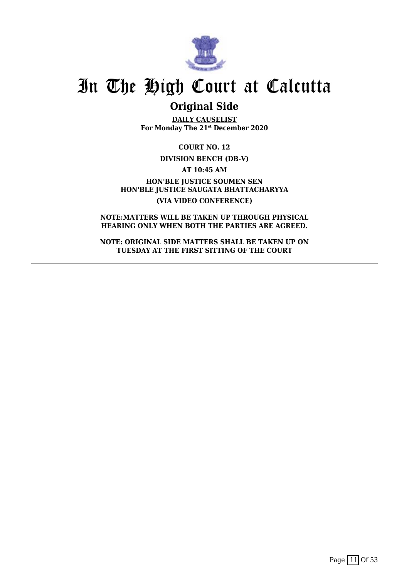

### **Original Side**

**DAILY CAUSELIST For Monday The 21st December 2020**

**COURT NO. 12**

#### **DIVISION BENCH (DB-V)**

**AT 10:45 AM**

**HON'BLE JUSTICE SOUMEN SEN HON'BLE JUSTICE SAUGATA BHATTACHARYYA (VIA VIDEO CONFERENCE)**

**NOTE:MATTERS WILL BE TAKEN UP THROUGH PHYSICAL HEARING ONLY WHEN BOTH THE PARTIES ARE AGREED.**

**NOTE: ORIGINAL SIDE MATTERS SHALL BE TAKEN UP ON TUESDAY AT THE FIRST SITTING OF THE COURT**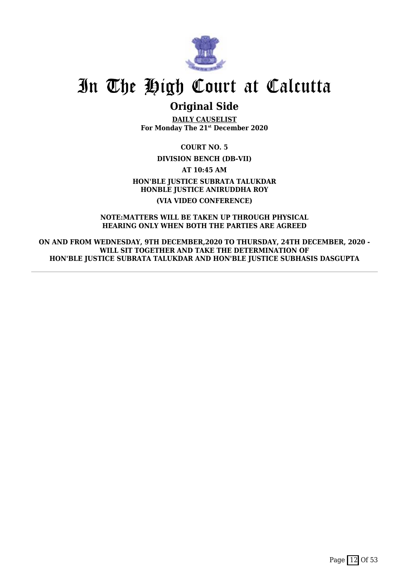

## **Original Side**

**DAILY CAUSELIST For Monday The 21st December 2020**

**COURT NO. 5**

**DIVISION BENCH (DB-VII)**

**AT 10:45 AM**

**HON'BLE JUSTICE SUBRATA TALUKDAR HONBLE JUSTICE ANIRUDDHA ROY (VIA VIDEO CONFERENCE)**

#### **NOTE:MATTERS WILL BE TAKEN UP THROUGH PHYSICAL HEARING ONLY WHEN BOTH THE PARTIES ARE AGREED**

**ON AND FROM WEDNESDAY, 9TH DECEMBER,2020 TO THURSDAY, 24TH DECEMBER, 2020 - WILL SIT TOGETHER AND TAKE THE DETERMINATION OF HON'BLE JUSTICE SUBRATA TALUKDAR AND HON'BLE JUSTICE SUBHASIS DASGUPTA**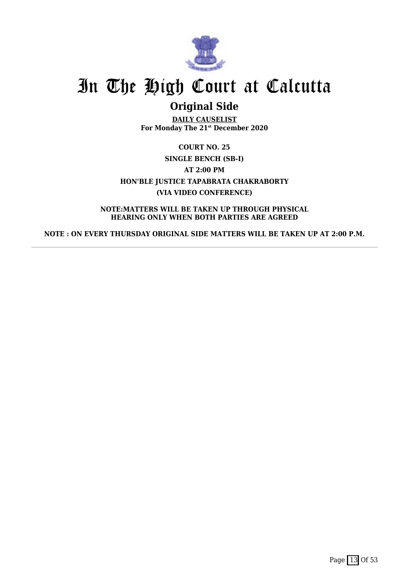

## **Original Side**

**DAILY CAUSELIST For Monday The 21st December 2020**

**COURT NO. 25 SINGLE BENCH (SB-I) AT 2:00 PM HON'BLE JUSTICE TAPABRATA CHAKRABORTY (VIA VIDEO CONFERENCE)**

**NOTE:MATTERS WILL BE TAKEN UP THROUGH PHYSICAL HEARING ONLY WHEN BOTH PARTIES ARE AGREED**

**NOTE : ON EVERY THURSDAY ORIGINAL SIDE MATTERS WILL BE TAKEN UP AT 2:00 P.M.**

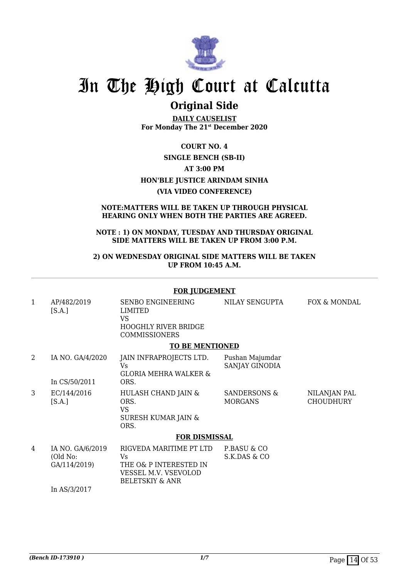

### **Original Side**

**DAILY CAUSELIST For Monday The 21st December 2020**

### **COURT NO. 4 SINGLE BENCH (SB-II) AT 3:00 PM HON'BLE JUSTICE ARINDAM SINHA (VIA VIDEO CONFERENCE)**

#### **NOTE:MATTERS WILL BE TAKEN UP THROUGH PHYSICAL HEARING ONLY WHEN BOTH THE PARTIES ARE AGREED.**

#### **NOTE : 1) ON MONDAY, TUESDAY AND THURSDAY ORIGINAL SIDE MATTERS WILL BE TAKEN UP FROM 3:00 P.M.**

#### **2) ON WEDNESDAY ORIGINAL SIDE MATTERS WILL BE TAKEN UP FROM 10:45 A.M.**

#### **FOR JUDGEMENT** 1 AP/482/2019  $[S.A.]$ SENBO ENGINEERING LIMITED VS HOOGHLY RIVER BRIDGE COMMISSIONERS NILAY SENGUPTA FOX & MONDAL **TO BE MENTIONED** 2 IA NO. GA/4/2020 In CS/50/2011 JAIN INFRAPROJECTS LTD. Vs GLORIA MEHRA WALKER & ORS. Pushan Majumdar SANJAY GINODIA 3 EC/144/2016  $[S.A.]$ HULASH CHAND JAIN & ORS. VS SURESH KUMAR JAIN & ORS. SANDERSONS & MORGANS NILANJAN PAL **CHOUDHURY FOR DISMISSAL** 4 IA NO. GA/6/2019 (Old No: GA/114/2019) RIGVEDA MARITIME PT LTD Vs THE O& P INTERESTED IN VESSEL M.V. VSEVOLOD BELETSKIY & ANR P.BASU & CO S.K.DAS & CO

In AS/3/2017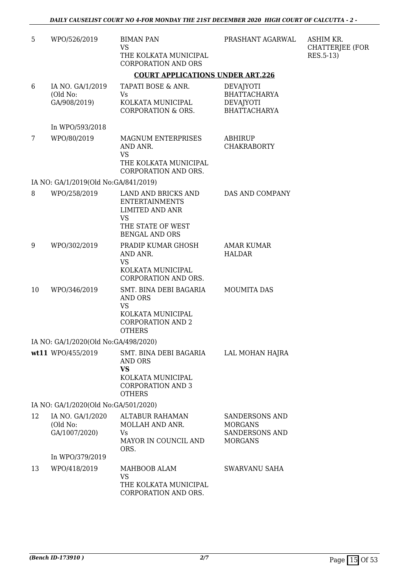| 5  | WPO/526/2019                                  | <b>BIMAN PAN</b><br><b>VS</b>                                                                                                     | PRASHANT AGARWAL                                                                   | ASHIM KR.<br><b>CHATTERJEE (FOR</b> |
|----|-----------------------------------------------|-----------------------------------------------------------------------------------------------------------------------------------|------------------------------------------------------------------------------------|-------------------------------------|
|    |                                               | THE KOLKATA MUNICIPAL<br><b>CORPORATION AND ORS</b>                                                                               |                                                                                    | RES.5-13)                           |
|    |                                               | <b>COURT APPLICATIONS UNDER ART.226</b>                                                                                           |                                                                                    |                                     |
| 6  | IA NO. GA/1/2019<br>(Old No:<br>GA/908/2019)  | TAPATI BOSE & ANR.<br>Vs<br>KOLKATA MUNICIPAL<br><b>CORPORATION &amp; ORS.</b>                                                    | <b>DEVAJYOTI</b><br><b>BHATTACHARYA</b><br><b>DEVAJYOTI</b><br><b>BHATTACHARYA</b> |                                     |
|    | In WPO/593/2018                               |                                                                                                                                   |                                                                                    |                                     |
| 7  | WPO/80/2019                                   | <b>MAGNUM ENTERPRISES</b><br>AND ANR.<br><b>VS</b>                                                                                | <b>ABHIRUP</b><br><b>CHAKRABORTY</b>                                               |                                     |
|    |                                               | THE KOLKATA MUNICIPAL<br>CORPORATION AND ORS.                                                                                     |                                                                                    |                                     |
|    | IA NO: GA/1/2019(Old No:GA/841/2019)          |                                                                                                                                   |                                                                                    |                                     |
| 8  | WPO/258/2019                                  | LAND AND BRICKS AND<br><b>ENTERTAINMENTS</b><br><b>LIMITED AND ANR</b><br><b>VS</b><br>THE STATE OF WEST<br><b>BENGAL AND ORS</b> | DAS AND COMPANY                                                                    |                                     |
| 9  | WPO/302/2019                                  | PRADIP KUMAR GHOSH<br>AND ANR.<br>VS                                                                                              | <b>AMAR KUMAR</b><br><b>HALDAR</b>                                                 |                                     |
|    |                                               | KOLKATA MUNICIPAL<br>CORPORATION AND ORS.                                                                                         |                                                                                    |                                     |
| 10 | WPO/346/2019                                  | SMT. BINA DEBI BAGARIA<br><b>AND ORS</b><br><b>VS</b><br>KOLKATA MUNICIPAL<br><b>CORPORATION AND 2</b><br><b>OTHERS</b>           | <b>MOUMITA DAS</b>                                                                 |                                     |
|    | IA NO: GA/1/2020(Old No:GA/498/2020)          |                                                                                                                                   |                                                                                    |                                     |
|    | wt11 WPO/455/2019                             | SMT. BINA DEBI BAGARIA<br>AND ORS<br><b>VS</b><br>KOLKATA MUNICIPAL<br><b>CORPORATION AND 3</b><br><b>OTHERS</b>                  | LAL MOHAN HAJRA                                                                    |                                     |
|    | IA NO: GA/1/2020(Old No:GA/501/2020)          |                                                                                                                                   |                                                                                    |                                     |
| 12 | IA NO. GA/1/2020<br>(Old No:<br>GA/1007/2020) | <b>ALTABUR RAHAMAN</b><br>MOLLAH AND ANR.<br><b>Vs</b><br>MAYOR IN COUNCIL AND<br>ORS.                                            | SANDERSONS AND<br><b>MORGANS</b><br>SANDERSONS AND<br><b>MORGANS</b>               |                                     |
|    | In WPO/379/2019                               |                                                                                                                                   |                                                                                    |                                     |
| 13 | WPO/418/2019                                  | MAHBOOB ALAM<br><b>VS</b><br>THE KOLKATA MUNICIPAL<br>CORPORATION AND ORS.                                                        | <b>SWARVANU SAHA</b>                                                               |                                     |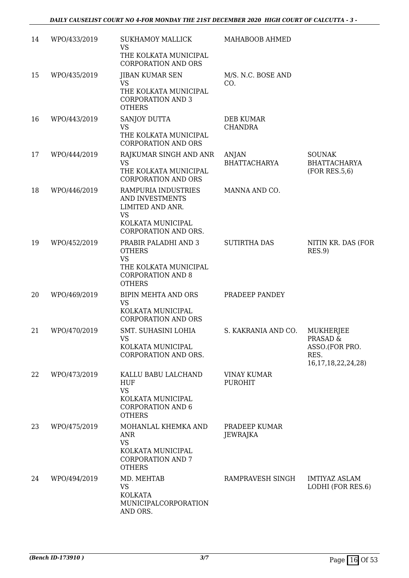| 14 | WPO/433/2019 | <b>SUKHAMOY MALLICK</b><br><b>VS</b><br>THE KOLKATA MUNICIPAL<br><b>CORPORATION AND ORS</b>                              | MAHABOOB AHMED                       |                                                                                   |
|----|--------------|--------------------------------------------------------------------------------------------------------------------------|--------------------------------------|-----------------------------------------------------------------------------------|
| 15 | WPO/435/2019 | <b>JIBAN KUMAR SEN</b><br><b>VS</b><br>THE KOLKATA MUNICIPAL<br><b>CORPORATION AND 3</b><br><b>OTHERS</b>                | M/S. N.C. BOSE AND<br>CO.            |                                                                                   |
| 16 | WPO/443/2019 | SANJOY DUTTA<br><b>VS</b><br>THE KOLKATA MUNICIPAL<br><b>CORPORATION AND ORS</b>                                         | <b>DEB KUMAR</b><br><b>CHANDRA</b>   |                                                                                   |
| 17 | WPO/444/2019 | RAJKUMAR SINGH AND ANR<br>VS<br>THE KOLKATA MUNICIPAL<br><b>CORPORATION AND ORS</b>                                      | ANJAN<br><b>BHATTACHARYA</b>         | <b>SOUNAK</b><br><b>BHATTACHARYA</b><br>(FOR RES.5.6)                             |
| 18 | WPO/446/2019 | RAMPURIA INDUSTRIES<br>AND INVESTMENTS<br>LIMITED AND ANR.<br><b>VS</b><br>KOLKATA MUNICIPAL<br>CORPORATION AND ORS.     | MANNA AND CO.                        |                                                                                   |
| 19 | WPO/452/2019 | PRABIR PALADHI AND 3<br><b>OTHERS</b><br><b>VS</b><br>THE KOLKATA MUNICIPAL<br><b>CORPORATION AND 8</b><br><b>OTHERS</b> | <b>SUTIRTHA DAS</b>                  | NITIN KR. DAS (FOR<br>RES.9                                                       |
| 20 | WPO/469/2019 | BIPIN MEHTA AND ORS<br><b>VS</b><br>KOLKATA MUNICIPAL<br><b>CORPORATION AND ORS</b>                                      | PRADEEP PANDEY                       |                                                                                   |
| 21 | WPO/470/2019 | SMT. SUHASINI LOHIA<br><b>VS</b><br>KOLKATA MUNICIPAL<br>CORPORATION AND ORS.                                            | S. KAKRANIA AND CO.                  | <b>MUKHERJEE</b><br>PRASAD &<br>ASSO.(FOR PRO.<br>RES.<br>16, 17, 18, 22, 24, 28) |
| 22 | WPO/473/2019 | KALLU BABU LALCHAND<br>HUF<br><b>VS</b><br>KOLKATA MUNICIPAL<br><b>CORPORATION AND 6</b><br><b>OTHERS</b>                | <b>VINAY KUMAR</b><br><b>PUROHIT</b> |                                                                                   |
| 23 | WPO/475/2019 | MOHANLAL KHEMKA AND<br><b>ANR</b><br><b>VS</b><br>KOLKATA MUNICIPAL<br><b>CORPORATION AND 7</b><br><b>OTHERS</b>         | PRADEEP KUMAR<br>JEWRAJKA            |                                                                                   |
| 24 | WPO/494/2019 | MD. MEHTAB<br><b>VS</b><br>KOLKATA<br>MUNICIPALCORPORATION<br>AND ORS.                                                   | RAMPRAVESH SINGH                     | <b>IMTIYAZ ASLAM</b><br>LODHI (FOR RES.6)                                         |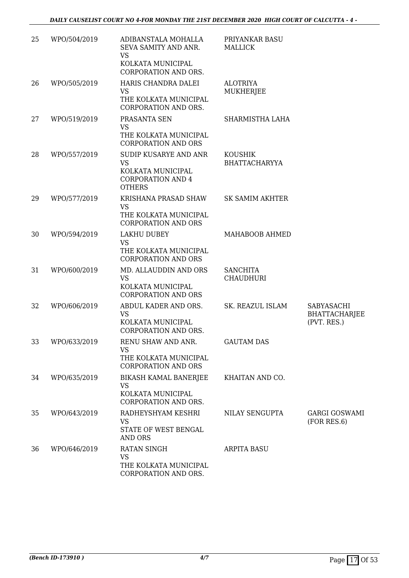| 25 | WPO/504/2019 | ADIBANSTALA MOHALLA<br>SEVA SAMITY AND ANR.<br><b>VS</b><br>KOLKATA MUNICIPAL<br>CORPORATION AND ORS. | PRIYANKAR BASU<br><b>MALLICK</b>       |                                                   |
|----|--------------|-------------------------------------------------------------------------------------------------------|----------------------------------------|---------------------------------------------------|
| 26 | WPO/505/2019 | HARIS CHANDRA DALEI<br><b>VS</b><br>THE KOLKATA MUNICIPAL<br>CORPORATION AND ORS.                     | <b>ALOTRIYA</b><br><b>MUKHERJEE</b>    |                                                   |
| 27 | WPO/519/2019 | PRASANTA SEN<br><b>VS</b><br>THE KOLKATA MUNICIPAL<br><b>CORPORATION AND ORS</b>                      | SHARMISTHA LAHA                        |                                                   |
| 28 | WPO/557/2019 | SUDIP KUSARYE AND ANR<br><b>VS</b><br>KOLKATA MUNICIPAL<br><b>CORPORATION AND 4</b><br><b>OTHERS</b>  | <b>KOUSHIK</b><br><b>BHATTACHARYYA</b> |                                                   |
| 29 | WPO/577/2019 | KRISHANA PRASAD SHAW<br><b>VS</b><br>THE KOLKATA MUNICIPAL<br><b>CORPORATION AND ORS</b>              | <b>SK SAMIM AKHTER</b>                 |                                                   |
| 30 | WPO/594/2019 | LAKHU DUBEY<br><b>VS</b><br>THE KOLKATA MUNICIPAL<br><b>CORPORATION AND ORS</b>                       | MAHABOOB AHMED                         |                                                   |
| 31 | WPO/600/2019 | MD. ALLAUDDIN AND ORS<br><b>VS</b><br>KOLKATA MUNICIPAL<br><b>CORPORATION AND ORS</b>                 | <b>SANCHITA</b><br><b>CHAUDHURI</b>    |                                                   |
| 32 | WPO/606/2019 | ABDUL KADER AND ORS.<br><b>VS</b><br>KOLKATA MUNICIPAL<br>CORPORATION AND ORS.                        | SK. REAZUL ISLAM                       | SABYASACHI<br><b>BHATTACHARJEE</b><br>(PVT. RES.) |
| 33 | WPO/633/2019 | RENU SHAW AND ANR.<br>VS<br>THE KOLKATA MUNICIPAL<br><b>CORPORATION AND ORS</b>                       | <b>GAUTAM DAS</b>                      |                                                   |
| 34 | WPO/635/2019 | BIKASH KAMAL BANERJEE<br><b>VS</b><br>KOLKATA MUNICIPAL<br>CORPORATION AND ORS.                       | KHAITAN AND CO.                        |                                                   |
| 35 | WPO/643/2019 | RADHEYSHYAM KESHRI<br><b>VS</b><br>STATE OF WEST BENGAL<br><b>AND ORS</b>                             | NILAY SENGUPTA                         | <b>GARGI GOSWAMI</b><br>(FOR RES.6)               |
| 36 | WPO/646/2019 | RATAN SINGH<br><b>VS</b><br>THE KOLKATA MUNICIPAL<br>CORPORATION AND ORS.                             | ARPITA BASU                            |                                                   |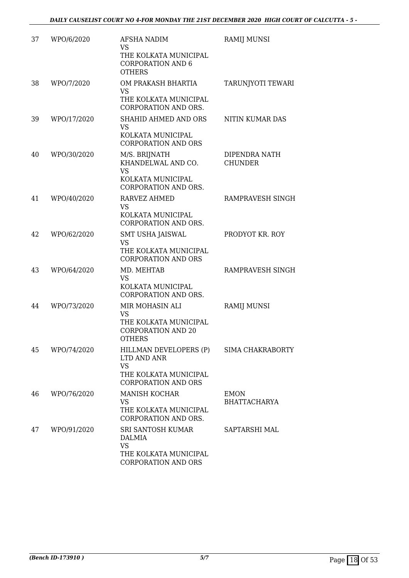| 37 | WPO/6/2020  | <b>AFSHA NADIM</b><br><b>VS</b>                                                                           | RAMIJ MUNSI                        |
|----|-------------|-----------------------------------------------------------------------------------------------------------|------------------------------------|
|    |             | THE KOLKATA MUNICIPAL<br><b>CORPORATION AND 6</b><br><b>OTHERS</b>                                        |                                    |
| 38 | WPO/7/2020  | OM PRAKASH BHARTIA<br><b>VS</b><br>THE KOLKATA MUNICIPAL<br>CORPORATION AND ORS.                          | TARUNJYOTI TEWARI                  |
| 39 | WPO/17/2020 | SHAHID AHMED AND ORS<br><b>VS</b><br>KOLKATA MUNICIPAL<br><b>CORPORATION AND ORS</b>                      | NITIN KUMAR DAS                    |
| 40 | WPO/30/2020 | M/S. BRIJNATH<br>KHANDELWAL AND CO.<br><b>VS</b><br>KOLKATA MUNICIPAL<br><b>CORPORATION AND ORS.</b>      | DIPENDRA NATH<br><b>CHUNDER</b>    |
| 41 | WPO/40/2020 | <b>RARVEZ AHMED</b><br><b>VS</b><br>KOLKATA MUNICIPAL<br><b>CORPORATION AND ORS.</b>                      | RAMPRAVESH SINGH                   |
| 42 | WPO/62/2020 | SMT USHA JAISWAL<br><b>VS</b><br>THE KOLKATA MUNICIPAL<br><b>CORPORATION AND ORS</b>                      | PRODYOT KR. ROY                    |
| 43 | WPO/64/2020 | MD. MEHTAB<br><b>VS</b><br>KOLKATA MUNICIPAL<br>CORPORATION AND ORS.                                      | RAMPRAVESH SINGH                   |
| 44 | WPO/73/2020 | MIR MOHASIN ALI<br><b>VS</b><br>THE KOLKATA MUNICIPAL<br><b>CORPORATION AND 20</b><br><b>OTHERS</b>       | <b>RAMIJ MUNSI</b>                 |
| 45 | WPO/74/2020 | HILLMAN DEVELOPERS (P)<br>LTD AND ANR<br><b>VS</b><br>THE KOLKATA MUNICIPAL<br><b>CORPORATION AND ORS</b> | SIMA CHAKRABORTY                   |
| 46 | WPO/76/2020 | <b>MANISH KOCHAR</b><br><b>VS</b><br>THE KOLKATA MUNICIPAL<br>CORPORATION AND ORS.                        | <b>EMON</b><br><b>BHATTACHARYA</b> |
| 47 | WPO/91/2020 | SRI SANTOSH KUMAR<br>DALMIA<br><b>VS</b><br>THE KOLKATA MUNICIPAL<br>CORPORATION AND ORS                  | SAPTARSHI MAL                      |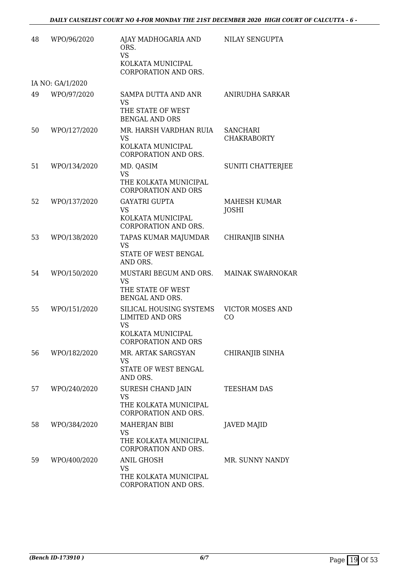| 48 | WPO/96/2020      | AJAY MADHOGARIA AND<br>ORS.<br><b>VS</b><br>KOLKATA MUNICIPAL                                                     | NILAY SENGUPTA                        |
|----|------------------|-------------------------------------------------------------------------------------------------------------------|---------------------------------------|
|    |                  | CORPORATION AND ORS.                                                                                              |                                       |
|    | IA NO: GA/1/2020 |                                                                                                                   |                                       |
| 49 | WPO/97/2020      | SAMPA DUTTA AND ANR<br><b>VS</b><br>THE STATE OF WEST<br><b>BENGAL AND ORS</b>                                    | ANIRUDHA SARKAR                       |
| 50 | WPO/127/2020     | MR. HARSH VARDHAN RUIA<br>VS.<br>KOLKATA MUNICIPAL<br>CORPORATION AND ORS.                                        | <b>SANCHARI</b><br><b>CHAKRABORTY</b> |
| 51 | WPO/134/2020     | MD. QASIM<br><b>VS</b><br>THE KOLKATA MUNICIPAL<br><b>CORPORATION AND ORS</b>                                     | SUNITI CHATTERJEE                     |
| 52 | WPO/137/2020     | <b>GAYATRI GUPTA</b><br><b>VS</b><br>KOLKATA MUNICIPAL<br>CORPORATION AND ORS.                                    | MAHESH KUMAR<br>JOSHI                 |
| 53 | WPO/138/2020     | TAPAS KUMAR MAJUMDAR<br><b>VS</b><br>STATE OF WEST BENGAL<br>AND ORS.                                             | CHIRANJIB SINHA                       |
| 54 | WPO/150/2020     | MUSTARI BEGUM AND ORS.<br><b>VS</b><br>THE STATE OF WEST<br>BENGAL AND ORS.                                       | <b>MAINAK SWARNOKAR</b>               |
| 55 | WPO/151/2020     | SILICAL HOUSING SYSTEMS<br><b>LIMITED AND ORS</b><br><b>VS</b><br>KOLKATA MUNICIPAL<br><b>CORPORATION AND ORS</b> | <b>VICTOR MOSES AND</b><br>CO         |
| 56 | WPO/182/2020     | MR. ARTAK SARGSYAN<br><b>VS</b><br>STATE OF WEST BENGAL<br>AND ORS.                                               | CHIRANJIB SINHA                       |
| 57 | WPO/240/2020     | SURESH CHAND JAIN<br><b>VS</b><br>THE KOLKATA MUNICIPAL<br>CORPORATION AND ORS.                                   | TEESHAM DAS                           |
| 58 | WPO/384/2020     | MAHERJAN BIBI<br><b>VS</b><br>THE KOLKATA MUNICIPAL<br>CORPORATION AND ORS.                                       | <b>JAVED MAJID</b>                    |
| 59 | WPO/400/2020     | ANIL GHOSH<br><b>VS</b><br>THE KOLKATA MUNICIPAL<br>CORPORATION AND ORS.                                          | MR. SUNNY NANDY                       |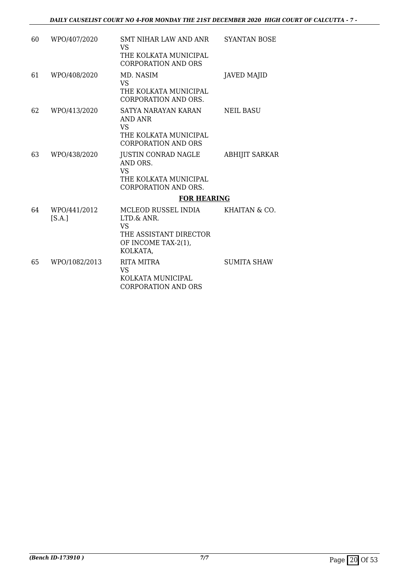| 60 | WPO/407/2020           | SMT NIHAR LAW AND ANR<br><b>VS</b><br>THE KOLKATA MUNICIPAL<br><b>CORPORATION AND ORS</b>                   | <b>SYANTAN BOSE</b>   |
|----|------------------------|-------------------------------------------------------------------------------------------------------------|-----------------------|
| 61 | WPO/408/2020           | MD. NASIM<br>VS.<br>THE KOLKATA MUNICIPAL<br><b>CORPORATION AND ORS.</b>                                    | <b>JAVED MAJID</b>    |
| 62 | WPO/413/2020           | SATYA NARAYAN KARAN<br>AND ANR<br>VS.<br>THE KOLKATA MUNICIPAL<br><b>CORPORATION AND ORS</b>                | <b>NEIL BASU</b>      |
| 63 | WPO/438/2020           | JUSTIN CONRAD NAGLE<br>AND ORS.<br><b>VS</b><br>THE KOLKATA MUNICIPAL<br><b>CORPORATION AND ORS.</b>        | <b>ABHIJIT SARKAR</b> |
|    |                        | <b>FOR HEARING</b>                                                                                          |                       |
| 64 | WPO/441/2012<br>[S.A.] | MCLEOD RUSSEL INDIA<br>LTD.& ANR.<br><b>VS</b><br>THE ASSISTANT DIRECTOR<br>OF INCOME TAX-2(1),<br>KOLKATA, | KHAITAN & CO.         |
| 65 | WPO/1082/2013          | RITA MITRA<br><b>VS</b><br>KOLKATA MUNICIPAL<br><b>CORPORATION AND ORS</b>                                  | <b>SUMITA SHAW</b>    |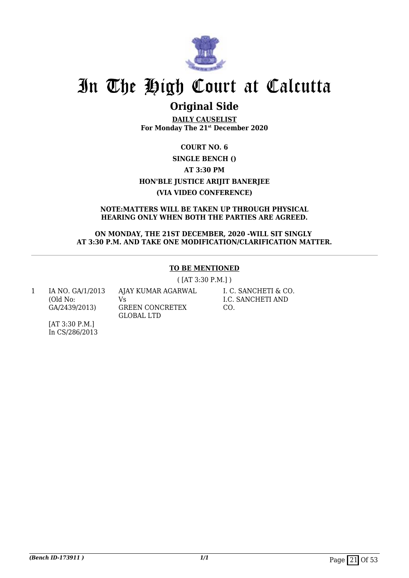

## **Original Side**

**DAILY CAUSELIST For Monday The 21st December 2020**

### **COURT NO. 6 SINGLE BENCH () AT 3:30 PM HON'BLE JUSTICE ARIJIT BANERJEE (VIA VIDEO CONFERENCE)**

#### **NOTE:MATTERS WILL BE TAKEN UP THROUGH PHYSICAL HEARING ONLY WHEN BOTH THE PARTIES ARE AGREED.**

#### **ON MONDAY, THE 21ST DECEMBER, 2020 -WILL SIT SINGLY AT 3:30 P.M. AND TAKE ONE MODIFICATION/CLARIFICATION MATTER.**

#### **TO BE MENTIONED**

( [AT 3:30 P.M.] )

1 IA NO. GA/1/2013 (Old No: GA/2439/2013)

AJAY KUMAR AGARWAL Vs GREEN CONCRETEX GLOBAL LTD

I. C. SANCHETI & CO. I.C. SANCHETI AND CO.

[AT 3:30 P.M.] In CS/286/2013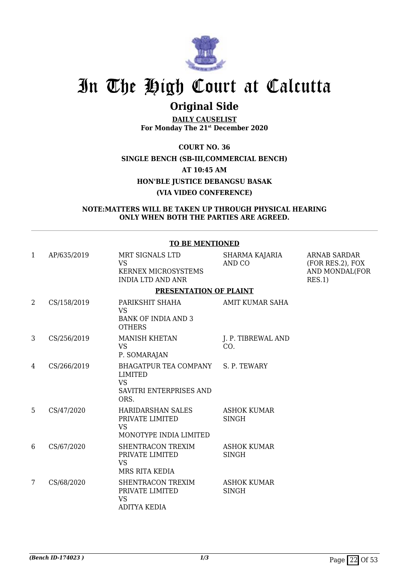

## **Original Side**

**DAILY CAUSELIST For Monday The 21st December 2020**

**COURT NO. 36 SINGLE BENCH (SB-III,COMMERCIAL BENCH) AT 10:45 AM HON'BLE JUSTICE DEBANGSU BASAK**

#### **(VIA VIDEO CONFERENCE)**

#### **NOTE:MATTERS WILL BE TAKEN UP THROUGH PHYSICAL HEARING ONLY WHEN BOTH THE PARTIES ARE AGREED.**

#### **TO BE MENTIONED**

| 1              | AP/635/2019 | MRT SIGNALS LTD<br><b>VS</b><br><b>KERNEX MICROSYSTEMS</b><br><b>INDIA LTD AND ANR</b>  | SHARMA KAJARIA<br>AND CO           | <b>ARNAB SARDAR</b><br>(FOR RES.2), FOX<br>AND MONDAL(FOR<br>RES.1) |
|----------------|-------------|-----------------------------------------------------------------------------------------|------------------------------------|---------------------------------------------------------------------|
|                |             | PRESENTATION OF PLAINT                                                                  |                                    |                                                                     |
| $\overline{2}$ | CS/158/2019 | PARIKSHIT SHAHA<br><b>VS</b><br><b>BANK OF INDIA AND 3</b><br><b>OTHERS</b>             | <b>AMIT KUMAR SAHA</b>             |                                                                     |
| 3              | CS/256/2019 | <b>MANISH KHETAN</b><br><b>VS</b><br>P. SOMARAJAN                                       | J. P. TIBREWAL AND<br>CO.          |                                                                     |
| 4              | CS/266/2019 | BHAGATPUR TEA COMPANY<br><b>LIMITED</b><br><b>VS</b><br>SAVITRI ENTERPRISES AND<br>ORS. | S. P. TEWARY                       |                                                                     |
| 5              | CS/47/2020  | <b>HARIDARSHAN SALES</b><br>PRIVATE LIMITED<br><b>VS</b><br>MONOTYPE INDIA LIMITED      | <b>ASHOK KUMAR</b><br><b>SINGH</b> |                                                                     |
| 6              | CS/67/2020  | SHENTRACON TREXIM<br>PRIVATE LIMITED<br><b>VS</b><br>MRS RITA KEDIA                     | <b>ASHOK KUMAR</b><br><b>SINGH</b> |                                                                     |
| 7              | CS/68/2020  | SHENTRACON TREXIM<br>PRIVATE LIMITED<br><b>VS</b><br><b>ADITYA KEDIA</b>                | <b>ASHOK KUMAR</b><br><b>SINGH</b> |                                                                     |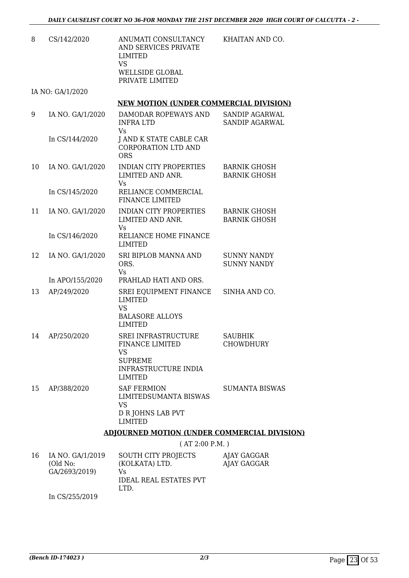| CS/142/2020 | ANUMATI CONSULTANCY<br>AND SERVICES PRIVATE<br>LIMITED<br>VS<br>WELLSIDE GLOBAL<br>PRIVATE LIMITED | KHAITAN AND CO. |
|-------------|----------------------------------------------------------------------------------------------------|-----------------|
|             |                                                                                                    |                 |

IA NO: GA/1/2020

#### **NEW MOTION (UNDER COMMERCIAL DIVISION)**

| 9  | IA NO. GA/1/2020 | DAMODAR ROPEWAYS AND<br><b>INFRALTD</b><br>Vs.                                                                         | SANDIP AGARWAL<br><b>SANDIP AGARWAL</b>    |  |
|----|------------------|------------------------------------------------------------------------------------------------------------------------|--------------------------------------------|--|
|    | In CS/144/2020   | J AND K STATE CABLE CAR<br><b>CORPORATION LTD AND</b><br><b>ORS</b>                                                    |                                            |  |
| 10 | IA NO. GA/1/2020 | <b>INDIAN CITY PROPERTIES</b><br>LIMITED AND ANR.<br><b>Vs</b>                                                         | <b>BARNIK GHOSH</b><br><b>BARNIK GHOSH</b> |  |
|    | In CS/145/2020   | RELIANCE COMMERCIAL<br><b>FINANCE LIMITED</b>                                                                          |                                            |  |
| 11 | IA NO. GA/1/2020 | <b>INDIAN CITY PROPERTIES</b><br>LIMITED AND ANR.<br><b>Vs</b>                                                         | <b>BARNIK GHOSH</b><br><b>BARNIK GHOSH</b> |  |
|    | In CS/146/2020   | RELIANCE HOME FINANCE<br><b>LIMITED</b>                                                                                |                                            |  |
| 12 | IA NO. GA/1/2020 | SRI BIPLOB MANNA AND<br>ORS.<br>Vs                                                                                     | <b>SUNNY NANDY</b><br><b>SUNNY NANDY</b>   |  |
|    | In APO/155/2020  | PRAHLAD HATI AND ORS.                                                                                                  |                                            |  |
| 13 | AP/249/2020      | SREI EQUIPMENT FINANCE<br><b>LIMITED</b><br><b>VS</b><br><b>BALASORE ALLOYS</b><br><b>LIMITED</b>                      | SINHA AND CO.                              |  |
| 14 | AP/250/2020      | SREI INFRASTRUCTURE<br>FINANCE LIMITED<br><b>VS</b><br><b>SUPREME</b><br><b>INFRASTRUCTURE INDIA</b><br><b>LIMITED</b> | <b>SAUBHIK</b><br><b>CHOWDHURY</b>         |  |
| 15 | AP/388/2020      | <b>SAF FERMION</b><br>LIMITEDSUMANTA BISWAS<br><b>VS</b><br><b>D R JOHNS LAB PVT</b><br><b>LIMITED</b>                 | <b>SUMANTA BISWAS</b>                      |  |
|    |                  | <b>ADJOURNED MOTION (UNDER COMMERCIAL DIVISION)</b>                                                                    |                                            |  |
|    | (AT 2:00 P.M.)   |                                                                                                                        |                                            |  |

| 16 | IA NO. GA/1/2019 | SOUTH CITY PROJECTS           | AJAY GAGGAR |
|----|------------------|-------------------------------|-------------|
|    | (Old No:         | (KOLKATA) LTD.                | AJAY GAGGAR |
|    | GA/2693/2019)    | Vs                            |             |
|    |                  | <b>IDEAL REAL ESTATES PVT</b> |             |
|    |                  | LTD.                          |             |
|    | In CS/255/2019   |                               |             |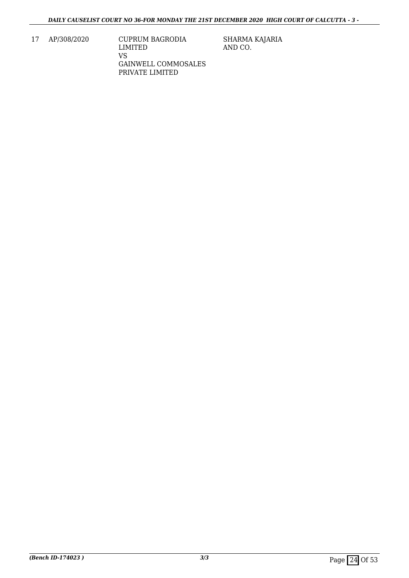17 AP/308/2020 CUPRUM BAGRODIA LIMITED VS GAINWELL COMMOSALES PRIVATE LIMITED

SHARMA KAJARIA AND CO.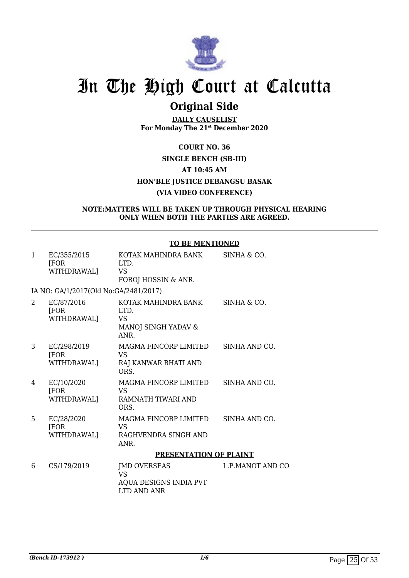

## **Original Side**

**DAILY CAUSELIST For Monday The 21st December 2020**

### **COURT NO. 36 SINGLE BENCH (SB-III) AT 10:45 AM HON'BLE JUSTICE DEBANGSU BASAK (VIA VIDEO CONFERENCE)**

#### **NOTE:MATTERS WILL BE TAKEN UP THROUGH PHYSICAL HEARING ONLY WHEN BOTH THE PARTIES ARE AGREED.**

#### **TO BE MENTIONED**

| $\mathbf{1}$ | EC/355/2015<br>[FOR]<br>WITHDRAWAL]      | KOTAK MAHINDRA BANK<br>LTD.<br>VS<br>FOROJ HOSSIN & ANR.                  | SINHA & CO.      |
|--------------|------------------------------------------|---------------------------------------------------------------------------|------------------|
|              | IA NO: GA/1/2017(Old No:GA/2481/2017)    |                                                                           |                  |
| 2            | EC/87/2016<br>[FOR]<br>WITHDRAWAL]       | KOTAK MAHINDRA BANK<br>LTD.<br>VS<br>MANOJ SINGH YADAV &<br><b>ANR</b>    | SINHA & CO.      |
| 3            | EC/298/2019<br><b>FOR</b><br>WITHDRAWAL] | MAGMA FINCORP LIMITED<br><b>VS</b><br>RAJ KANWAR BHATI AND<br>ORS.        | SINHA AND CO.    |
| 4            | EC/10/2020<br>[FOR<br>WITHDRAWAL]        | MAGMA FINCORP LIMITED<br>VS<br>RAMNATH TIWARI AND<br>ORS.                 | SINHA AND CO.    |
| 5            | EC/28/2020<br>[FOR<br>WITHDRAWAL]        | MAGMA FINCORP LIMITED<br><b>VS</b><br>RAGHVENDRA SINGH AND<br>ANR.        | SINHA AND CO.    |
|              |                                          | PRESENTATION OF PLAINT                                                    |                  |
| 6            | CS/179/2019                              | <b>JMD OVERSEAS</b><br><b>VS</b><br>AQUA DESIGNS INDIA PVT<br>LTD AND ANR | L.P.MANOT AND CO |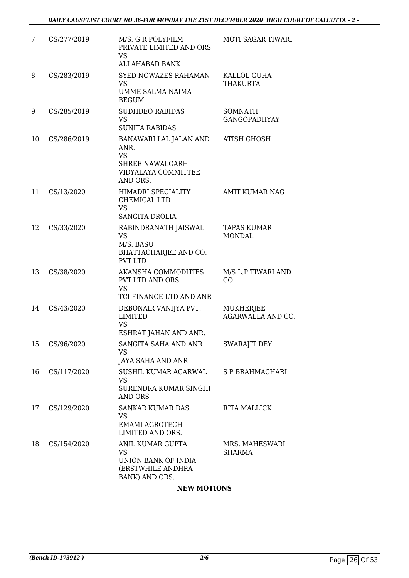| 7  | CS/277/2019 | M/S. G R POLYFILM<br>PRIVATE LIMITED AND ORS<br>VS.<br><b>ALLAHABAD BANK</b>                      | MOTI SAGAR TIWARI                   |
|----|-------------|---------------------------------------------------------------------------------------------------|-------------------------------------|
| 8  | CS/283/2019 | SYED NOWAZES RAHAMAN<br><b>VS</b><br>UMME SALMA NAIMA<br><b>BEGUM</b>                             | KALLOL GUHA<br><b>THAKURTA</b>      |
| 9  | CS/285/2019 | <b>SUDHDEO RABIDAS</b><br><b>VS</b><br><b>SUNITA RABIDAS</b>                                      | SOMNATH<br><b>GANGOPADHYAY</b>      |
| 10 | CS/286/2019 | BANAWARI LAL JALAN AND<br>ANR.<br><b>VS</b><br>SHREE NAWALGARH<br>VIDYALAYA COMMITTEE<br>AND ORS. | <b>ATISH GHOSH</b>                  |
| 11 | CS/13/2020  | <b>HIMADRI SPECIALITY</b><br>CHEMICAL LTD<br><b>VS</b><br><b>SANGITA DROLIA</b>                   | <b>AMIT KUMAR NAG</b>               |
| 12 | CS/33/2020  | RABINDRANATH JAISWAL<br><b>VS</b><br>M/S. BASU<br>BHATTACHARJEE AND CO.<br><b>PVT LTD</b>         | <b>TAPAS KUMAR</b><br><b>MONDAL</b> |
| 13 | CS/38/2020  | AKANSHA COMMODITIES<br>PVT LTD AND ORS<br><b>VS</b><br>TCI FINANCE LTD AND ANR                    | M/S L.P.TIWARI AND<br>CO            |
| 14 | CS/43/2020  | DEBONAIR VANIJYA PVT.<br>LIMITED<br><b>VS</b><br>ESHRAT JAHAN AND ANR.                            | MUKHERJEE<br>AGARWALLA AND CO.      |
| 15 | CS/96/2020  | SANGITA SAHA AND ANR<br><b>VS</b><br><b>JAYA SAHA AND ANR</b>                                     | <b>SWARAJIT DEY</b>                 |
| 16 | CS/117/2020 | SUSHIL KUMAR AGARWAL<br>VS.<br>SURENDRA KUMAR SINGHI<br><b>AND ORS</b>                            | S P BRAHMACHARI                     |
| 17 | CS/129/2020 | <b>SANKAR KUMAR DAS</b><br>VS<br><b>EMAMI AGROTECH</b><br>LIMITED AND ORS.                        | <b>RITA MALLICK</b>                 |
| 18 | CS/154/2020 | ANIL KUMAR GUPTA<br><b>VS</b><br>UNION BANK OF INDIA<br>(ERSTWHILE ANDHRA)<br>BANK) AND ORS.      | MRS. MAHESWARI<br>SHARMA            |

### **NEW MOTIONS**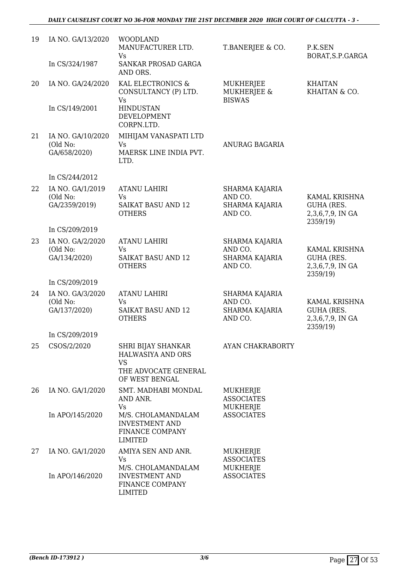| 19 | IA NO. GA/13/2020                             | <b>WOODLAND</b><br>MANUFACTURER LTD.<br><b>Vs</b>                                                     | T.BANERJEE & CO.                                              | P.K.SEN<br>BORAT, S.P. GARGA                                       |
|----|-----------------------------------------------|-------------------------------------------------------------------------------------------------------|---------------------------------------------------------------|--------------------------------------------------------------------|
|    | In CS/324/1987                                | SANKAR PROSAD GARGA<br>AND ORS.                                                                       |                                                               |                                                                    |
| 20 | IA NO. GA/24/2020                             | KAL ELECTRONICS &<br>CONSULTANCY (P) LTD.<br>Vs                                                       | <b>MUKHERJEE</b><br><b>MUKHERJEE &amp;</b><br><b>BISWAS</b>   | <b>KHAITAN</b><br>KHAITAN & CO.                                    |
|    | In CS/149/2001                                | <b>HINDUSTAN</b><br>DEVELOPMENT<br>CORPN.LTD.                                                         |                                                               |                                                                    |
| 21 | IA NO. GA/10/2020<br>(Old No:<br>GA/658/2020) | MIHIJAM VANASPATI LTD<br><b>Vs</b><br>MAERSK LINE INDIA PVT.<br>LTD.                                  | ANURAG BAGARIA                                                |                                                                    |
|    | In CS/244/2012                                |                                                                                                       |                                                               |                                                                    |
| 22 | IA NO. GA/1/2019                              | <b>ATANU LAHIRI</b>                                                                                   | <b>SHARMA KAJARIA</b>                                         |                                                                    |
|    | (Old No:<br>GA/2359/2019)                     | <b>Vs</b><br><b>SAIKAT BASU AND 12</b><br><b>OTHERS</b>                                               | AND CO.<br>SHARMA KAJARIA<br>AND CO.                          | KAMAL KRISHNA<br><b>GUHA (RES.</b><br>2,3,6,7,9, IN GA<br>2359/19) |
|    | In CS/209/2019                                |                                                                                                       |                                                               |                                                                    |
| 23 | IA NO. GA/2/2020<br>(Old No:<br>GA/134/2020)  | <b>ATANU LAHIRI</b><br><b>Vs</b><br><b>SAIKAT BASU AND 12</b><br><b>OTHERS</b>                        | SHARMA KAJARIA<br>AND CO.<br><b>SHARMA KAJARIA</b><br>AND CO. | KAMAL KRISHNA<br><b>GUHA (RES.</b><br>2,3,6,7,9, IN GA             |
|    | In CS/209/2019                                |                                                                                                       |                                                               | 2359/19)                                                           |
| 24 | IA NO. GA/3/2020<br>(Old No:<br>GA/137/2020)  | <b>ATANU LAHIRI</b><br>Vs<br><b>SAIKAT BASU AND 12</b><br><b>OTHERS</b>                               | SHARMA KAJARIA<br>AND CO.<br><b>SHARMA KAJARIA</b><br>AND CO. | KAMAL KRISHNA<br><b>GUHA (RES.</b><br>2,3,6,7,9, IN GA<br>2359/19) |
|    | In CS/209/2019                                |                                                                                                       |                                                               |                                                                    |
| 25 | CSOS/2/2020                                   | SHRI BIJAY SHANKAR<br><b>HALWASIYA AND ORS</b><br><b>VS</b><br>THE ADVOCATE GENERAL<br>OF WEST BENGAL | AYAN CHAKRABORTY                                              |                                                                    |
| 26 | IA NO. GA/1/2020                              | SMT. MADHABI MONDAL<br>AND ANR.<br><b>Vs</b>                                                          | MUKHERJE<br><b>ASSOCIATES</b><br>MUKHERJE                     |                                                                    |
|    | In APO/145/2020                               | M/S. CHOLAMANDALAM<br><b>INVESTMENT AND</b><br>FINANCE COMPANY<br>LIMITED                             | <b>ASSOCIATES</b>                                             |                                                                    |
| 27 | IA NO. GA/1/2020                              | AMIYA SEN AND ANR.<br>Vs<br>M/S. CHOLAMANDALAM                                                        | MUKHERJE<br><b>ASSOCIATES</b><br><b>MUKHERJE</b>              |                                                                    |
|    | In APO/146/2020                               | <b>INVESTMENT AND</b><br>FINANCE COMPANY<br><b>LIMITED</b>                                            | <b>ASSOCIATES</b>                                             |                                                                    |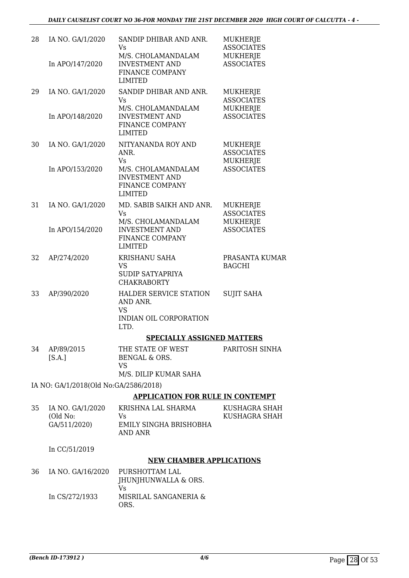| 28 | IA NO. GA/1/2020                      | SANDIP DHIBAR AND ANR.<br>Vs                                                     | MUKHERJE<br><b>ASSOCIATES</b>             |
|----|---------------------------------------|----------------------------------------------------------------------------------|-------------------------------------------|
|    | In APO/147/2020                       | M/S. CHOLAMANDALAM<br><b>INVESTMENT AND</b><br>FINANCE COMPANY<br><b>LIMITED</b> | MUKHERJE<br><b>ASSOCIATES</b>             |
| 29 | IA NO. GA/1/2020                      | SANDIP DHIBAR AND ANR.<br>Vs                                                     | MUKHERJE<br><b>ASSOCIATES</b>             |
|    | In APO/148/2020                       | M/S. CHOLAMANDALAM<br><b>INVESTMENT AND</b><br>FINANCE COMPANY<br><b>LIMITED</b> | MUKHERJE<br><b>ASSOCIATES</b>             |
| 30 | IA NO. GA/1/2020                      | NITYANANDA ROY AND<br>ANR.<br>Vs                                                 | MUKHERJE<br><b>ASSOCIATES</b><br>MUKHERJE |
|    | In APO/153/2020                       | M/S. CHOLAMANDALAM<br><b>INVESTMENT AND</b><br>FINANCE COMPANY<br>LIMITED        | <b>ASSOCIATES</b>                         |
| 31 | IA NO. GA/1/2020                      | MD. SABIB SAIKH AND ANR.<br>Vs<br>M/S. CHOLAMANDALAM                             | MUKHERJE<br><b>ASSOCIATES</b>             |
|    | In APO/154/2020                       | <b>INVESTMENT AND</b><br>FINANCE COMPANY<br><b>LIMITED</b>                       | MUKHERJE<br><b>ASSOCIATES</b>             |
| 32 | AP/274/2020                           | KRISHANU SAHA<br>VS<br><b>SUDIP SATYAPRIYA</b><br><b>CHAKRABORTY</b>             | PRASANTA KUMAR<br><b>BAGCHI</b>           |
| 33 | AP/390/2020                           | HALDER SERVICE STATION<br>AND ANR.<br>VS                                         | <b>SUJIT SAHA</b>                         |
|    |                                       | <b>INDIAN OIL CORPORATION</b><br>LTD.                                            |                                           |
|    |                                       | <b>SPECIALLY ASSIGNED MATTERS</b>                                                |                                           |
| 34 | AP/89/2015<br>[S.A.]                  | THE STATE OF WEST<br><b>BENGAL &amp; ORS.</b><br><b>VS</b>                       | PARITOSH SINHA                            |
|    |                                       | M/S. DILIP KUMAR SAHA                                                            |                                           |
|    | IA NO: GA/1/2018(Old No:GA/2586/2018) |                                                                                  |                                           |
|    |                                       | <b>APPLICATION FOR RULE IN CONTEMPT</b>                                          |                                           |
| 35 | IA NO. GA/1/2020<br>(Old No:          | KRISHNA LAL SHARMA<br>Vs                                                         | KUSHAGRA SHAH<br>KUSHAGRA SHAH            |
|    | GA/511/2020)                          | EMILY SINGHA BRISHOBHA<br><b>AND ANR</b>                                         |                                           |
|    | In CC/51/2019                         |                                                                                  |                                           |
|    |                                       | <b>NEW CHAMBER APPLICATIONS</b>                                                  |                                           |
| 36 | IA NO. GA/16/2020                     | PURSHOTTAM LAL<br>JHUNJHUNWALLA & ORS.<br>Vs                                     |                                           |
|    | In CS/272/1933                        | MISRILAL SANGANERIA &<br>ORS.                                                    |                                           |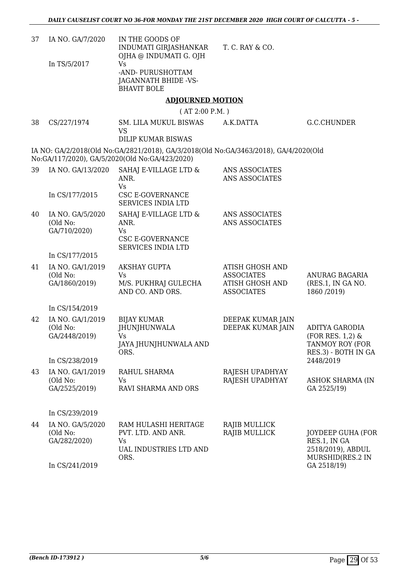| 37 | IA NO. GA/7/2020                              | IN THE GOODS OF<br>INDUMATI GIRJASHANKAR<br>OJHA @ INDUMATI G. OJH                                                                                                  | T. C. RAY & CO.                                                                            |                                                                                        |
|----|-----------------------------------------------|---------------------------------------------------------------------------------------------------------------------------------------------------------------------|--------------------------------------------------------------------------------------------|----------------------------------------------------------------------------------------|
|    | In TS/5/2017                                  | <b>Vs</b><br>-AND-PURUSHOTTAM<br>JAGANNATH BHIDE -VS-<br><b>BHAVIT BOLE</b>                                                                                         |                                                                                            |                                                                                        |
|    |                                               | <b>ADJOURNED MOTION</b>                                                                                                                                             |                                                                                            |                                                                                        |
|    |                                               | (AT 2:00 P.M. )                                                                                                                                                     |                                                                                            |                                                                                        |
| 38 | CS/227/1974                                   | SM. LILA MUKUL BISWAS<br><b>VS</b>                                                                                                                                  | A.K.DATTA                                                                                  | G.C.CHUNDER                                                                            |
|    |                                               | <b>DILIP KUMAR BISWAS</b><br>IA NO: GA/2/2018(Old No:GA/2821/2018), GA/3/2018(Old No:GA/3463/2018), GA/4/2020(Old<br>No:GA/117/2020), GA/5/2020(Old No:GA/423/2020) |                                                                                            |                                                                                        |
| 39 | IA NO. GA/13/2020                             | SAHAJ E-VILLAGE LTD &<br>ANR.<br><b>Vs</b>                                                                                                                          | ANS ASSOCIATES<br>ANS ASSOCIATES                                                           |                                                                                        |
|    | In CS/177/2015                                | <b>CSC E-GOVERNANCE</b><br><b>SERVICES INDIA LTD</b>                                                                                                                |                                                                                            |                                                                                        |
| 40 | IA NO. GA/5/2020<br>(Old No:<br>GA/710/2020)  | SAHAJ E-VILLAGE LTD &<br>ANR.<br><b>Vs</b><br><b>CSC E-GOVERNANCE</b><br>SERVICES INDIA LTD                                                                         | ANS ASSOCIATES<br>ANS ASSOCIATES                                                           |                                                                                        |
|    | In CS/177/2015                                |                                                                                                                                                                     |                                                                                            |                                                                                        |
| 41 | IA NO. GA/1/2019<br>(Old No:<br>GA/1860/2019) | <b>AKSHAY GUPTA</b><br><b>Vs</b><br>M/S. PUKHRAJ GULECHA<br>AND CO. AND ORS.                                                                                        | <b>ATISH GHOSH AND</b><br><b>ASSOCIATES</b><br><b>ATISH GHOSH AND</b><br><b>ASSOCIATES</b> | <b>ANURAG BAGARIA</b><br>(RES.1, IN GA NO.<br>1860 / 2019)                             |
|    | In CS/154/2019                                |                                                                                                                                                                     |                                                                                            |                                                                                        |
| 42 | IA NO. GA/1/2019<br>(Old No:<br>GA/2448/2019) | <b>BIJAY KUMAR</b><br><b>JHUNJHUNWALA</b><br>Vs<br>JAYA JHUNJHUNWALA AND<br>ORS.                                                                                    | DEEPAK KUMAR JAIN<br>DEEPAK KUMAR JAIN                                                     | <b>ADITYA GARODIA</b><br>$(FOR RES. 1, 2)$ &<br>TANMOY ROY (FOR<br>RES.3) - BOTH IN GA |
|    | In CS/238/2019                                |                                                                                                                                                                     |                                                                                            | 2448/2019                                                                              |
| 43 | IA NO. GA/1/2019<br>(Old No:<br>GA/2525/2019) | RAHUL SHARMA<br>Vs<br>RAVI SHARMA AND ORS                                                                                                                           | RAJESH UPADHYAY<br>RAJESH UPADHYAY                                                         | <b>ASHOK SHARMA (IN</b><br>GA 2525/19)                                                 |
|    | In CS/239/2019                                |                                                                                                                                                                     |                                                                                            |                                                                                        |
| 44 | IA NO. GA/5/2020<br>(Old No:<br>GA/282/2020)  | RAM HULASHI HERITAGE<br>PVT. LTD. AND ANR.<br><b>Vs</b><br>UAL INDUSTRIES LTD AND<br>ORS.                                                                           | RAJIB MULLICK<br>RAJIB MULLICK                                                             | <b>JOYDEEP GUHA (FOR</b><br>RES.1, IN GA<br>2518/2019), ABDUL<br>MURSHID(RES.2 IN      |
|    | In CS/241/2019                                |                                                                                                                                                                     |                                                                                            | GA 2518/19)                                                                            |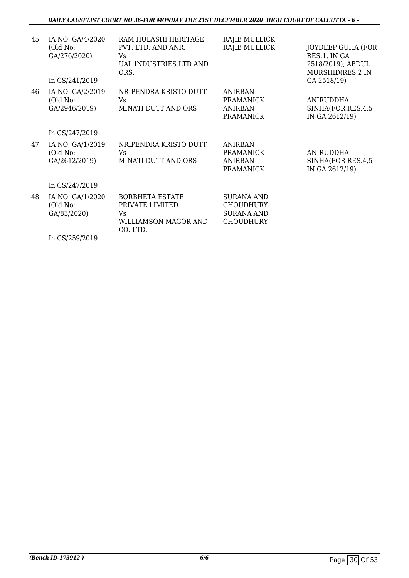| 45 | IA NO. GA/4/2020                              | RAM HULASHI HERITAGE                                                                | RAJIB MULLICK                                                                  |                                                         |
|----|-----------------------------------------------|-------------------------------------------------------------------------------------|--------------------------------------------------------------------------------|---------------------------------------------------------|
|    | (Old No:<br>GA/276/2020)                      | PVT. LTD. AND ANR.<br><b>Vs</b>                                                     | RAJIB MULLICK                                                                  | JOYDEEP GUHA (FOR<br>RES.1, IN GA                       |
|    |                                               | UAL INDUSTRIES LTD AND<br>ORS.                                                      |                                                                                | 2518/2019), ABDUL<br>MURSHID(RES.2 IN                   |
|    | In CS/241/2019                                |                                                                                     |                                                                                | GA 2518/19)                                             |
| 46 | IA NO. GA/2/2019<br>(Old No:                  | NRIPENDRA KRISTO DUTT<br>Vs                                                         | <b>ANIRBAN</b><br><b>PRAMANICK</b>                                             | ANIRUDDHA                                               |
|    | GA/2946/2019)                                 | MINATI DUTT AND ORS                                                                 | <b>ANIRBAN</b><br><b>PRAMANICK</b>                                             | SINHA(FOR RES.4,5<br>IN GA 2612/19)                     |
|    | In CS/247/2019                                |                                                                                     |                                                                                |                                                         |
| 47 | IA NO. GA/1/2019<br>(Old No:<br>GA/2612/2019) | NRIPENDRA KRISTO DUTT<br>Vs<br>MINATI DUTT AND ORS                                  | <b>ANIRBAN</b><br><b>PRAMANICK</b><br><b>ANIRBAN</b><br><b>PRAMANICK</b>       | <b>ANIRUDDHA</b><br>SINHA(FOR RES.4,5<br>IN GA 2612/19) |
|    | In CS/247/2019                                |                                                                                     |                                                                                |                                                         |
| 48 | IA NO. GA/1/2020<br>(Old No:<br>GA/83/2020)   | <b>BORBHETA ESTATE</b><br>PRIVATE LIMITED<br>Vs<br>WILLIAMSON MAGOR AND<br>CO. LTD. | <b>SURANA AND</b><br><b>CHOUDHURY</b><br><b>SURANA AND</b><br><b>CHOUDHURY</b> |                                                         |
|    | In CS/259/2019                                |                                                                                     |                                                                                |                                                         |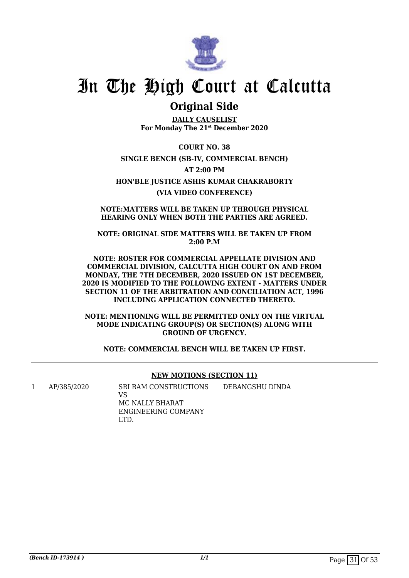

### **Original Side**

**DAILY CAUSELIST For Monday The 21st December 2020**

**COURT NO. 38 SINGLE BENCH (SB-IV, COMMERCIAL BENCH) AT 2:00 PM HON'BLE JUSTICE ASHIS KUMAR CHAKRABORTY (VIA VIDEO CONFERENCE)**

**NOTE:MATTERS WILL BE TAKEN UP THROUGH PHYSICAL HEARING ONLY WHEN BOTH THE PARTIES ARE AGREED.**

**NOTE: ORIGINAL SIDE MATTERS WILL BE TAKEN UP FROM 2:00 P.M**

**NOTE: ROSTER FOR COMMERCIAL APPELLATE DIVISION AND COMMERCIAL DIVISION, CALCUTTA HIGH COURT ON AND FROM MONDAY, THE 7TH DECEMBER, 2020 ISSUED ON 1ST DECEMBER, 2020 IS MODIFIED TO THE FOLLOWING EXTENT - MATTERS UNDER SECTION 11 OF THE ARBITRATION AND CONCILIATION ACT, 1996 INCLUDING APPLICATION CONNECTED THERETO.**

**NOTE: MENTIONING WILL BE PERMITTED ONLY ON THE VIRTUAL MODE INDICATING GROUP(S) OR SECTION(S) ALONG WITH GROUND OF URGENCY.**

**NOTE: COMMERCIAL BENCH WILL BE TAKEN UP FIRST.**

#### **NEW MOTIONS (SECTION 11)**

1 AP/385/2020 SRI RAM CONSTRUCTIONS

DEBANGSHU DINDA

VS MC NALLY BHARAT ENGINEERING COMPANY LTD.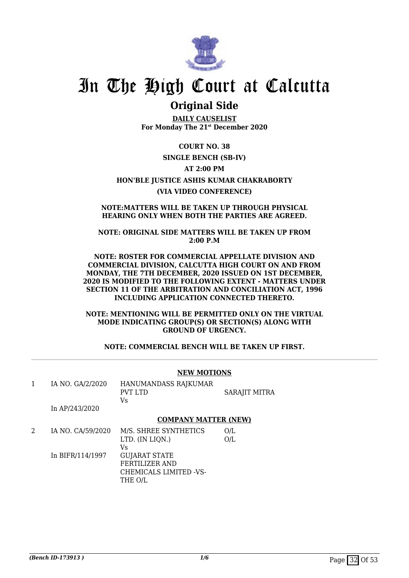

### **Original Side**

**DAILY CAUSELIST For Monday The 21st December 2020**

**COURT NO. 38**

#### **SINGLE BENCH (SB-IV)**

#### **AT 2:00 PM**

#### **HON'BLE JUSTICE ASHIS KUMAR CHAKRABORTY**

#### **(VIA VIDEO CONFERENCE)**

#### **NOTE:MATTERS WILL BE TAKEN UP THROUGH PHYSICAL HEARING ONLY WHEN BOTH THE PARTIES ARE AGREED.**

#### **NOTE: ORIGINAL SIDE MATTERS WILL BE TAKEN UP FROM 2:00 P.M**

#### **NOTE: ROSTER FOR COMMERCIAL APPELLATE DIVISION AND COMMERCIAL DIVISION, CALCUTTA HIGH COURT ON AND FROM MONDAY, THE 7TH DECEMBER, 2020 ISSUED ON 1ST DECEMBER, 2020 IS MODIFIED TO THE FOLLOWING EXTENT - MATTERS UNDER SECTION 11 OF THE ARBITRATION AND CONCILIATION ACT, 1996 INCLUDING APPLICATION CONNECTED THERETO.**

**NOTE: MENTIONING WILL BE PERMITTED ONLY ON THE VIRTUAL MODE INDICATING GROUP(S) OR SECTION(S) ALONG WITH GROUND OF URGENCY.**

**NOTE: COMMERCIAL BENCH WILL BE TAKEN UP FIRST.**

#### **NEW MOTIONS**

| IA NO. GA/2/2020<br>In AP/243/2020 | HANUMANDASS RAJKUMAR<br>PVT LTD<br>Vs | <b>SARAJIT MITRA</b> |
|------------------------------------|---------------------------------------|----------------------|
|                                    | <b>COMPANY MATTER (NEW)</b>           |                      |
| IA NO. CA/59/2020                  | M/S. SHREE SYNTHETICS                 | O/L                  |

In BIFR/114/1997 LTD. (IN LIQN.) Vs GUJARAT STATE FERTILIZER AND CHEMICALS LIMITED -VS-THE O/L O/L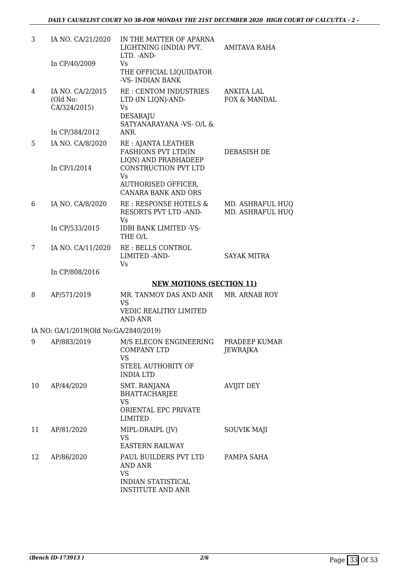| 3  | IA NO. CA/21/2020                            | IN THE MATTER OF APARNA<br>LIGHTNING (INDIA) PVT.<br>LTD. - AND-                            | <b>AMITAVA RAHA</b>                  |
|----|----------------------------------------------|---------------------------------------------------------------------------------------------|--------------------------------------|
|    | In CP/40/2009                                | Vs<br>THE OFFICIAL LIQUIDATOR<br>-VS- INDIAN BANK                                           |                                      |
| 4  | IA NO. CA/2/2015<br>(Old No:<br>CA/324/2015) | RE : CENTOM INDUSTRIES<br>LTD (IN LIQN)-AND-<br>Vs<br>DESARAJU                              | <b>ANKITA LAL</b><br>FOX & MANDAL    |
|    | In CP/384/2012                               | SATYANARAYANA -VS- O/L &<br>ANR.                                                            |                                      |
| 5  | IA NO. CA/8/2020                             | RE : AJANTA LEATHER<br><b>FASHIONS PVT LTD(IN</b><br>LIQN) AND PRABHADEEP                   | DEBASISH DE                          |
|    | In CP/1/2014                                 | CONSTRUCTION PVT LTD<br>Vs<br>AUTHORISED OFFICER,                                           |                                      |
|    |                                              | <b>CANARA BANK AND ORS</b>                                                                  |                                      |
| 6  | IA NO. CA/8/2020                             | RE : RESPONSE HOTELS &<br>RESORTS PVT LTD -AND-<br><b>Vs</b>                                | MD. ASHRAFUL HUO<br>MD. ASHRAFUL HUO |
|    | In CP/533/2015                               | <b>IDBI BANK LIMITED -VS-</b><br>THE O/L                                                    |                                      |
| 7  | IA NO. CA/11/2020                            | RE: BELLS CONTROL<br><b>LIMITED -AND-</b><br>Vs                                             | <b>SAYAK MITRA</b>                   |
|    | In CP/808/2016                               |                                                                                             |                                      |
|    |                                              | <b>NEW MOTIONS (SECTION 11)</b>                                                             |                                      |
| 8  | AP/571/2019                                  | MR. TANMOY DAS AND ANR MR. ARNAB ROY<br><b>VS</b><br>VEDIC REALITRY LIMITED<br>AND ANR      |                                      |
|    | IA NO: GA/1/2019(Old No:GA/2840/2019)        |                                                                                             |                                      |
|    |                                              | 9 AP/883/2019 M/S ELECON ENGINEERING PRADEEP KUMAR<br><b>COMPANY LTD</b><br>VS              | JEWRAJKA                             |
|    |                                              | STEEL AUTHORITY OF<br><b>INDIA LTD</b>                                                      |                                      |
| 10 | AP/44/2020                                   | SMT. RANJANA<br><b>BHATTACHARJEE</b><br><b>VS</b><br>ORIENTAL EPC PRIVATE<br><b>LIMITED</b> | <b>AVIJIT DEY</b>                    |
| 11 | AP/81/2020                                   | MIPL-DRAIPL (JV)<br>VS<br><b>EASTERN RAILWAY</b>                                            | <b>SOUVIK MAJI</b>                   |
| 12 | AP/86/2020                                   | PAUL BUILDERS PVT LTD<br><b>AND ANR</b><br><b>VS</b>                                        | PAMPA SAHA                           |
|    |                                              | <b>INDIAN STATISTICAL</b><br><b>INSTITUTE AND ANR</b>                                       |                                      |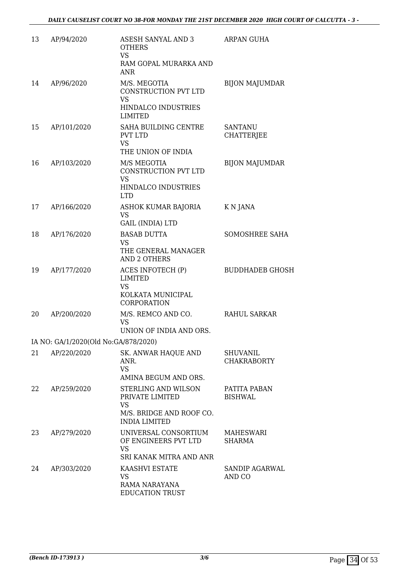| 13 | AP/94/2020                           | ASESH SANYAL AND 3<br><b>OTHERS</b><br><b>VS</b><br>RAM GOPAL MURARKA AND<br><b>ANR</b>                 | ARPAN GUHA                            |
|----|--------------------------------------|---------------------------------------------------------------------------------------------------------|---------------------------------------|
| 14 | AP/96/2020                           | M/S. MEGOTIA<br>CONSTRUCTION PVT LTD<br><b>VS</b><br>HINDALCO INDUSTRIES                                | <b>BIJON MAJUMDAR</b>                 |
|    |                                      | <b>LIMITED</b>                                                                                          |                                       |
| 15 | AP/101/2020                          | SAHA BUILDING CENTRE<br><b>PVT LTD</b><br><b>VS</b><br>THE UNION OF INDIA                               | <b>SANTANU</b><br><b>CHATTERJEE</b>   |
| 16 | AP/103/2020                          | M/S MEGOTIA<br>CONSTRUCTION PVT LTD<br><b>VS</b><br>HINDALCO INDUSTRIES<br><b>LTD</b>                   | <b>BIJON MAJUMDAR</b>                 |
| 17 | AP/166/2020                          | ASHOK KUMAR BAJORIA<br><b>VS</b><br><b>GAIL (INDIA) LTD</b>                                             | K N JANA                              |
| 18 | AP/176/2020                          | <b>BASAB DUTTA</b><br><b>VS</b>                                                                         | SOMOSHREE SAHA                        |
|    |                                      | THE GENERAL MANAGER<br><b>AND 2 OTHERS</b>                                                              |                                       |
| 19 | AP/177/2020                          | ACES INFOTECH (P)<br><b>LIMITED</b><br><b>VS</b><br>KOLKATA MUNICIPAL<br>CORPORATION                    | <b>BUDDHADEB GHOSH</b>                |
| 20 | AP/200/2020                          | M/S. REMCO AND CO.<br><b>VS</b><br>UNION OF INDIA AND ORS.                                              | <b>RAHUL SARKAR</b>                   |
|    | IA NO: GA/1/2020(Old No:GA/878/2020) |                                                                                                         |                                       |
| 21 | AP/220/2020                          | SK. ANWAR HAQUE AND<br>ANR.<br><b>VS</b><br>AMINA BEGUM AND ORS.                                        | <b>SHUVANIL</b><br><b>CHAKRABORTY</b> |
| 22 | AP/259/2020                          | STERLING AND WILSON<br>PRIVATE LIMITED<br><b>VS</b><br>M/S. BRIDGE AND ROOF CO.<br><b>INDIA LIMITED</b> | PATITA PABAN<br><b>BISHWAL</b>        |
| 23 | AP/279/2020                          | UNIVERSAL CONSORTIUM<br>OF ENGINEERS PVT LTD<br><b>VS</b><br>SRI KANAK MITRA AND ANR                    | MAHESWARI<br>SHARMA                   |
| 24 | AP/303/2020                          | KAASHVI ESTATE<br><b>VS</b><br>RAMA NARAYANA<br><b>EDUCATION TRUST</b>                                  | SANDIP AGARWAL<br>AND CO              |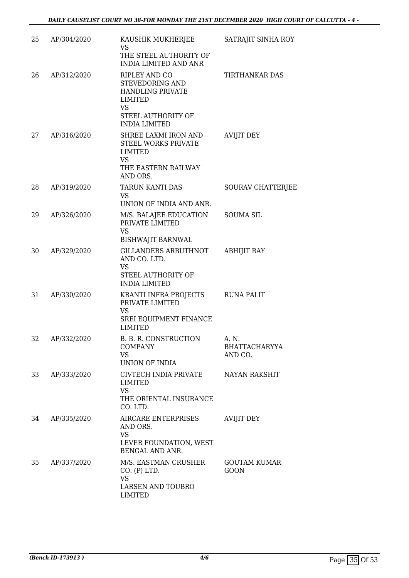| 25 | AP/304/2020 | KAUSHIK MUKHERJEE<br><b>VS</b><br>THE STEEL AUTHORITY OF<br><b>INDIA LIMITED AND ANR</b>                                   | SATRAJIT SINHA ROY                       |
|----|-------------|----------------------------------------------------------------------------------------------------------------------------|------------------------------------------|
| 26 | AP/312/2020 | RIPLEY AND CO<br>STEVEDORING AND<br><b>HANDLING PRIVATE</b><br>LIMITED<br>VS<br>STEEL AUTHORITY OF<br><b>INDIA LIMITED</b> | <b>TIRTHANKAR DAS</b>                    |
| 27 | AP/316/2020 | SHREE LAXMI IRON AND<br>STEEL WORKS PRIVATE<br><b>LIMITED</b><br><b>VS</b><br>THE EASTERN RAILWAY<br>AND ORS.              | <b>AVIJIT DEY</b>                        |
| 28 | AP/319/2020 | TARUN KANTI DAS<br><b>VS</b><br>UNION OF INDIA AND ANR.                                                                    | SOURAV CHATTERJEE                        |
| 29 | AP/326/2020 | M/S. BALAJEE EDUCATION<br>PRIVATE LIMITED<br><b>VS</b><br><b>BISHWAJIT BARNWAL</b>                                         | <b>SOUMA SIL</b>                         |
| 30 | AP/329/2020 | <b>GILLANDERS ARBUTHNOT</b><br>AND CO. LTD.<br><b>VS</b><br>STEEL AUTHORITY OF<br><b>INDIA LIMITED</b>                     | <b>ABHIJIT RAY</b>                       |
| 31 | AP/330/2020 | KRANTI INFRA PROJECTS<br>PRIVATE LIMITED<br><b>VS</b><br>SREI EQUIPMENT FINANCE<br><b>LIMITED</b>                          | <b>RUNA PALIT</b>                        |
| 32 | AP/332/2020 | B. B. R. CONSTRUCTION<br><b>COMPANY</b><br><b>VS</b><br>UNION OF INDIA                                                     | A. N.<br><b>BHATTACHARYYA</b><br>AND CO. |
| 33 | AP/333/2020 | CIVTECH INDIA PRIVATE<br><b>LIMITED</b><br><b>VS</b><br>THE ORIENTAL INSURANCE<br>CO. LTD.                                 | NAYAN RAKSHIT                            |
| 34 | AP/335/2020 | <b>AIRCARE ENTERPRISES</b><br>AND ORS.<br><b>VS</b><br>LEVER FOUNDATION, WEST<br>BENGAL AND ANR.                           | <b>AVIJIT DEY</b>                        |
| 35 | AP/337/2020 | M/S. EASTMAN CRUSHER<br>CO. (P) LTD.<br><b>VS</b><br>LARSEN AND TOUBRO<br><b>LIMITED</b>                                   | <b>GOUTAM KUMAR</b><br><b>GOON</b>       |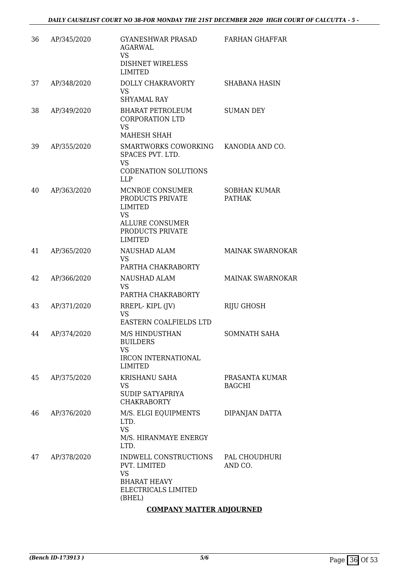| 36 | AP/345/2020 | <b>GYANESHWAR PRASAD</b><br>AGARWAL<br><b>VS</b><br><b>DISHNET WIRELESS</b><br><b>LIMITED</b>                                      | <b>FARHAN GHAFFAR</b>                |
|----|-------------|------------------------------------------------------------------------------------------------------------------------------------|--------------------------------------|
| 37 | AP/348/2020 | <b>DOLLY CHAKRAVORTY</b><br><b>VS</b><br><b>SHYAMAL RAY</b>                                                                        | <b>SHABANA HASIN</b>                 |
| 38 | AP/349/2020 | <b>BHARAT PETROLEUM</b><br><b>CORPORATION LTD</b><br><b>VS</b><br>MAHESH SHAH                                                      | <b>SUMAN DEY</b>                     |
| 39 | AP/355/2020 | SMARTWORKS COWORKING<br>SPACES PVT. LTD.<br><b>VS</b><br><b>CODENATION SOLUTIONS</b><br><b>LLP</b>                                 | KANODIA AND CO.                      |
| 40 | AP/363/2020 | MCNROE CONSUMER<br>PRODUCTS PRIVATE<br><b>LIMITED</b><br><b>VS</b><br><b>ALLURE CONSUMER</b><br>PRODUCTS PRIVATE<br><b>LIMITED</b> | <b>SOBHAN KUMAR</b><br><b>PATHAK</b> |
| 41 | AP/365/2020 | <b>NAUSHAD ALAM</b><br><b>VS</b><br>PARTHA CHAKRABORTY                                                                             | <b>MAINAK SWARNOKAR</b>              |
| 42 | AP/366/2020 | NAUSHAD ALAM<br><b>VS</b><br>PARTHA CHAKRABORTY                                                                                    | <b>MAINAK SWARNOKAR</b>              |
| 43 | AP/371/2020 | RREPL-KIPL (JV)<br><b>VS</b><br>EASTERN COALFIELDS LTD                                                                             | <b>RIJU GHOSH</b>                    |
| 44 | AP/374/2020 | M/S HINDUSTHAN<br><b>BUILDERS</b><br><b>VS</b><br><b>IRCON INTERNATIONAL</b><br><b>LIMITED</b>                                     | <b>SOMNATH SAHA</b>                  |
| 45 | AP/375/2020 | <b>KRISHANU SAHA</b><br><b>VS</b><br><b>SUDIP SATYAPRIYA</b><br><b>CHAKRABORTY</b>                                                 | PRASANTA KUMAR<br><b>BAGCHI</b>      |
| 46 | AP/376/2020 | M/S. ELGI EQUIPMENTS<br>LTD.<br><b>VS</b><br>M/S. HIRANMAYE ENERGY<br>LTD.                                                         | DIPANJAN DATTA                       |
| 47 | AP/378/2020 | INDWELL CONSTRUCTIONS<br>PVT. LIMITED<br><b>VS</b><br><b>BHARAT HEAVY</b><br>ELECTRICALS LIMITED<br>(BHEL)                         | PAL CHOUDHURI<br>AND CO.             |

### **COMPANY MATTER ADJOURNED**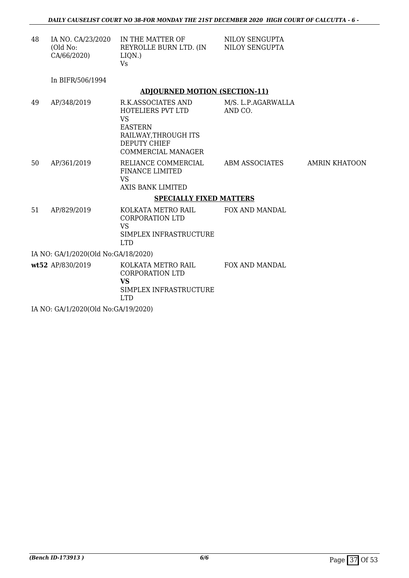| 48                                  | IA NO. CA/23/2020<br>(Old No:<br>CA/66/2020) | IN THE MATTER OF<br>REYROLLE BURN LTD. (IN NILOY SENGUPTA<br>LIQN.)<br><b>V<sub>S</sub></b>                                                        | NILOY SENGUPTA                |               |
|-------------------------------------|----------------------------------------------|----------------------------------------------------------------------------------------------------------------------------------------------------|-------------------------------|---------------|
|                                     | In BIFR/506/1994                             |                                                                                                                                                    |                               |               |
|                                     |                                              | <b>ADJOURNED MOTION (SECTION-11)</b>                                                                                                               |                               |               |
| 49                                  | AP/348/2019                                  | R.K.ASSOCIATES AND<br>HOTELIERS PVT LTD<br><b>VS</b><br><b>EASTERN</b><br>RAILWAY, THROUGH ITS<br><b>DEPUTY CHIEF</b><br><b>COMMERCIAL MANAGER</b> | M/S. L.P.AGARWALLA<br>AND CO. |               |
| 50                                  | AP/361/2019                                  | RELIANCE COMMERCIAL<br><b>FINANCE LIMITED</b><br><b>VS</b><br><b>AXIS BANK LIMITED</b>                                                             | ABM ASSOCIATES                | AMRIN KHATOON |
|                                     |                                              | <b>SPECIALLY FIXED MATTERS</b>                                                                                                                     |                               |               |
| 51                                  | AP/829/2019                                  | KOLKATA METRO RAIL<br><b>CORPORATION LTD</b><br><b>VS</b><br>SIMPLEX INFRASTRUCTURE<br><b>LTD</b>                                                  | <b>FOX AND MANDAL</b>         |               |
| IA NO: GA/1/2020(Old No:GA/18/2020) |                                              |                                                                                                                                                    |                               |               |
|                                     | wt52 AP/830/2019                             | KOLKATA METRO RAIL<br><b>CORPORATION LTD</b><br><b>VS</b><br>SIMPLEX INFRASTRUCTURE<br><b>LTD</b>                                                  | FOX AND MANDAL                |               |

IA NO: GA/1/2020(Old No:GA/19/2020)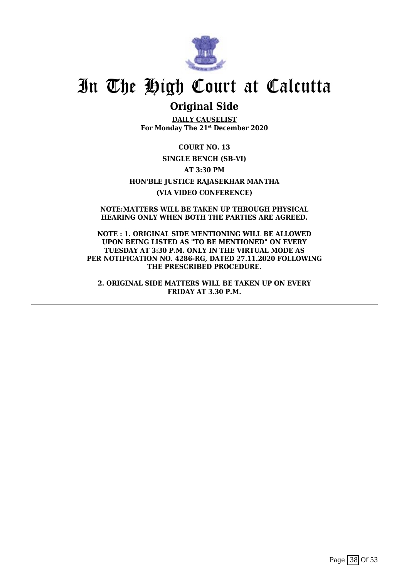

### **Original Side**

**DAILY CAUSELIST For Monday The 21st December 2020**

**COURT NO. 13 SINGLE BENCH (SB-VI) AT 3:30 PM HON'BLE JUSTICE RAJASEKHAR MANTHA (VIA VIDEO CONFERENCE)**

**NOTE:MATTERS WILL BE TAKEN UP THROUGH PHYSICAL HEARING ONLY WHEN BOTH THE PARTIES ARE AGREED.**

**NOTE : 1. ORIGINAL SIDE MENTIONING WILL BE ALLOWED UPON BEING LISTED AS "TO BE MENTIONED" ON EVERY TUESDAY AT 3:30 P.M. ONLY IN THE VIRTUAL MODE AS PER NOTIFICATION NO. 4286-RG, DATED 27.11.2020 FOLLOWING THE PRESCRIBED PROCEDURE.**

**2. ORIGINAL SIDE MATTERS WILL BE TAKEN UP ON EVERY FRIDAY AT 3.30 P.M.**

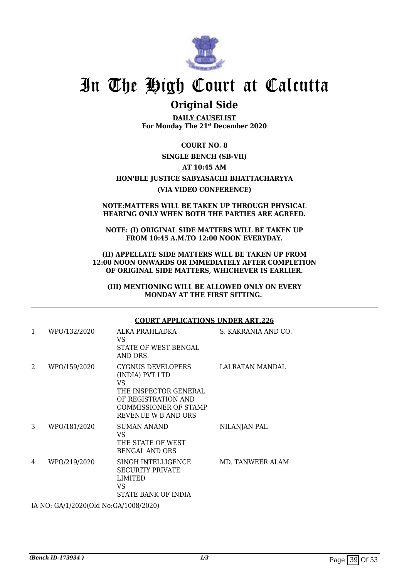

### **Original Side**

**DAILY CAUSELIST For Monday The 21st December 2020**

#### **COURT NO. 8**

#### **SINGLE BENCH (SB-VII)**

#### **AT 10:45 AM**

#### **HON'BLE JUSTICE SABYASACHI BHATTACHARYYA (VIA VIDEO CONFERENCE)**

#### **NOTE:MATTERS WILL BE TAKEN UP THROUGH PHYSICAL HEARING ONLY WHEN BOTH THE PARTIES ARE AGREED.**

#### **NOTE: (I) ORIGINAL SIDE MATTERS WILL BE TAKEN UP FROM 10:45 A.M.TO 12:00 NOON EVERYDAY.**

#### **(II) APPELLATE SIDE MATTERS WILL BE TAKEN UP FROM 12:00 NOON ONWARDS OR IMMEDIATELY AFTER COMPLETION OF ORIGINAL SIDE MATTERS, WHICHEVER IS EARLIER.**

**(III) MENTIONING WILL BE ALLOWED ONLY ON EVERY MONDAY AT THE FIRST SITTING.** 

#### **COURT APPLICATIONS UNDER ART.226**

| 1                                   | WPO/132/2020 | ALKA PRAHLADKA<br>VS<br><b>STATE OF WEST BENGAL</b><br>AND ORS.                                                                                    | S. KAKRANIA AND CO. |  |
|-------------------------------------|--------------|----------------------------------------------------------------------------------------------------------------------------------------------------|---------------------|--|
| 2                                   | WPO/159/2020 | CYGNUS DEVELOPERS<br>(INDIA) PVT LTD<br>VS.<br>THE INSPECTOR GENERAL<br>OF REGISTRATION AND<br><b>COMMISSIONER OF STAMP</b><br>REVENUE W B AND ORS | LALRATAN MANDAL     |  |
| 3                                   | WPO/181/2020 | <b>SUMAN ANAND</b><br>VS.<br>THE STATE OF WEST<br><b>BENGAL AND ORS</b>                                                                            | NILANJAN PAL        |  |
| 4                                   | WPO/219/2020 | SINGH INTELLIGENCE<br><b>SECURITY PRIVATE</b><br><b>LIMITED</b><br>VS.<br>STATE BANK OF INDIA                                                      | MD. TANWEER ALAM    |  |
| IA NO. CALLPOROIDE No.CALLON (2020) |              |                                                                                                                                                    |                     |  |

IA NO: GA/1/2020(Old No:GA/1008/2020)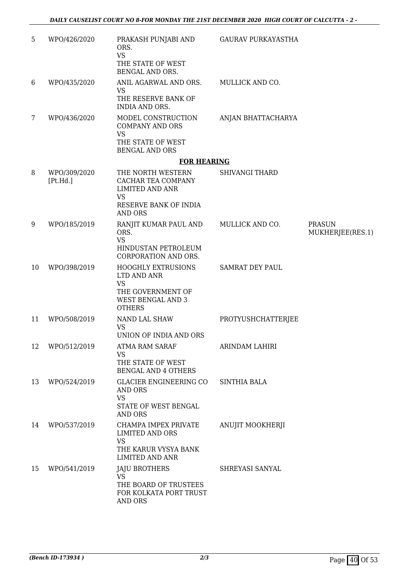| 5  | WPO/426/2020             | PRAKASH PUNJABI AND<br>ORS.<br><b>VS</b><br>THE STATE OF WEST<br>BENGAL AND ORS.                                          | <b>GAURAV PURKAYASTHA</b> |                                   |
|----|--------------------------|---------------------------------------------------------------------------------------------------------------------------|---------------------------|-----------------------------------|
| 6  | WPO/435/2020             | ANIL AGARWAL AND ORS.<br><b>VS</b>                                                                                        | MULLICK AND CO.           |                                   |
|    |                          | THE RESERVE BANK OF<br><b>INDIA AND ORS.</b>                                                                              |                           |                                   |
| 7  | WPO/436/2020             | MODEL CONSTRUCTION<br><b>COMPANY AND ORS</b><br><b>VS</b><br>THE STATE OF WEST<br><b>BENGAL AND ORS</b>                   | ANJAN BHATTACHARYA        |                                   |
|    |                          | <b>FOR HEARING</b>                                                                                                        |                           |                                   |
| 8  | WPO/309/2020<br>[Pt.Hd.] | THE NORTH WESTERN<br>CACHAR TEA COMPANY<br><b>LIMITED AND ANR</b><br><b>VS</b><br>RESERVE BANK OF INDIA<br><b>AND ORS</b> | <b>SHIVANGI THARD</b>     |                                   |
| 9  | WPO/185/2019             | RANJIT KUMAR PAUL AND<br>ORS.<br><b>VS</b><br>HINDUSTAN PETROLEUM<br>CORPORATION AND ORS.                                 | MULLICK AND CO.           | <b>PRASUN</b><br>MUKHERJEE(RES.1) |
| 10 | WPO/398/2019             | <b>HOOGHLY EXTRUSIONS</b><br>LTD AND ANR<br><b>VS</b><br>THE GOVERNMENT OF<br><b>WEST BENGAL AND 3</b><br><b>OTHERS</b>   | <b>SAMRAT DEY PAUL</b>    |                                   |
| 11 | WPO/508/2019             | NAND LAL SHAW<br><b>VS</b><br>UNION OF INDIA AND ORS                                                                      | PROTYUSHCHATTERJEE        |                                   |
| 12 | WPO/512/2019             | <b>ATMA RAM SARAF</b><br>VS<br>THE STATE OF WEST<br><b>BENGAL AND 4 OTHERS</b>                                            | ARINDAM LAHIRI            |                                   |
| 13 | WPO/524/2019             | GLACIER ENGINEERING CO<br>AND ORS<br><b>VS</b><br>STATE OF WEST BENGAL<br><b>AND ORS</b>                                  | <b>SINTHIA BALA</b>       |                                   |
| 14 | WPO/537/2019             | CHAMPA IMPEX PRIVATE<br><b>LIMITED AND ORS</b><br><b>VS</b><br>THE KARUR VYSYA BANK<br><b>LIMITED AND ANR</b>             | ANUJIT MOOKHERJI          |                                   |
| 15 | WPO/541/2019             | <b>JAJU BROTHERS</b><br><b>VS</b><br>THE BOARD OF TRUSTEES<br>FOR KOLKATA PORT TRUST<br>AND ORS                           | SHREYASI SANYAL           |                                   |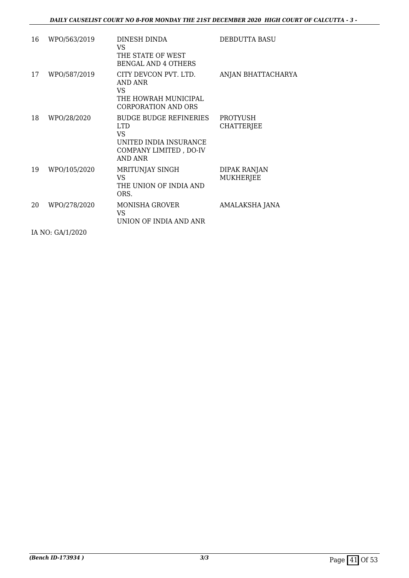| 16 | WPO/563/2019     | DINESH DINDA<br>VS<br>THE STATE OF WEST<br><b>BENGAL AND 4 OTHERS</b>                                       | DEBDUTTA BASU                    |
|----|------------------|-------------------------------------------------------------------------------------------------------------|----------------------------------|
| 17 | WPO/587/2019     | CITY DEVCON PVT. LTD.<br>AND ANR<br>VS.<br>THE HOWRAH MUNICIPAL<br><b>CORPORATION AND ORS</b>               | ANJAN BHATTACHARYA               |
| 18 | WPO/28/2020      | <b>BUDGE BUDGE REFINERIES</b><br>LTD.<br>VS.<br>UNITED INDIA INSURANCE<br>COMPANY LIMITED, DO-IV<br>AND ANR | PROTYUSH<br><b>CHATTERJEE</b>    |
| 19 | WPO/105/2020     | MRITUNJAY SINGH<br>VS.<br>THE UNION OF INDIA AND<br>ORS.                                                    | DIPAK RANJAN<br><b>MUKHERJEE</b> |
| 20 | WPO/278/2020     | MONISHA GROVER<br>VS<br>UNION OF INDIA AND ANR                                                              | AMALAKSHA JANA                   |
|    | IA NO: GA/1/2020 |                                                                                                             |                                  |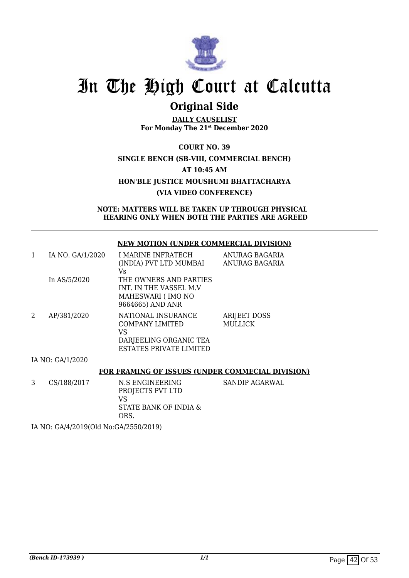

## **Original Side**

**DAILY CAUSELIST For Monday The 21st December 2020**

**COURT NO. 39 SINGLE BENCH (SB-VIII, COMMERCIAL BENCH) AT 10:45 AM HON'BLE JUSTICE MOUSHUMI BHATTACHARYA (VIA VIDEO CONFERENCE)**

**NOTE: MATTERS WILL BE TAKEN UP THROUGH PHYSICAL HEARING ONLY WHEN BOTH THE PARTIES ARE AGREED**

#### **NEW MOTION (UNDER COMMERCIAL DIVISION)**

|   | IA NO. GA/1/2020                                        | I MARINE INFRATECH      | ANURAG BAGARIA      |  |
|---|---------------------------------------------------------|-------------------------|---------------------|--|
|   |                                                         | (INDIA) PVT LTD MUMBAI  | ANURAG BAGARIA      |  |
|   |                                                         | Vs                      |                     |  |
|   | In AS/5/2020                                            | THE OWNERS AND PARTIES  |                     |  |
|   |                                                         | INT. IN THE VASSEL M.V  |                     |  |
|   |                                                         | MAHESWARI (IMO NO       |                     |  |
|   |                                                         | 9664665) AND ANR        |                     |  |
| 2 | AP/381/2020                                             | NATIONAL INSURANCE      | <b>ARIJEET DOSS</b> |  |
|   |                                                         | <b>COMPANY LIMITED</b>  | <b>MULLICK</b>      |  |
|   |                                                         | VS                      |                     |  |
|   |                                                         | DARJEELING ORGANIC TEA  |                     |  |
|   |                                                         | ESTATES PRIVATE LIMITED |                     |  |
|   | IA NO: GA/1/2020                                        |                         |                     |  |
|   | <b>FOR FRAMING OF ISSUES (UNDER COMMECIAL DIVISION)</b> |                         |                     |  |
|   |                                                         |                         |                     |  |

3 CS/188/2017 N.S ENGINEERING PROJECTS PVT LTD VS STATE BANK OF INDIA & ORS. SANDIP AGARWAL

IA NO: GA/4/2019(Old No:GA/2550/2019)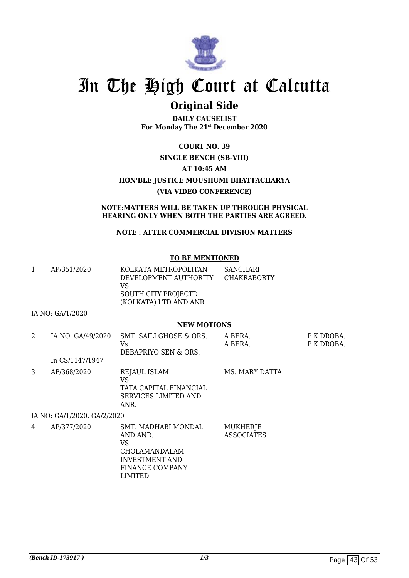

## **Original Side**

**DAILY CAUSELIST For Monday The 21st December 2020**

### **COURT NO. 39 SINGLE BENCH (SB-VIII) AT 10:45 AM HON'BLE JUSTICE MOUSHUMI BHATTACHARYA (VIA VIDEO CONFERENCE)**

**NOTE:MATTERS WILL BE TAKEN UP THROUGH PHYSICAL HEARING ONLY WHEN BOTH THE PARTIES ARE AGREED.**

#### **NOTE : AFTER COMMERCIAL DIVISION MATTERS**

#### **TO BE MENTIONED**

| AP/351/2020 | KOLKATA METROPOLITAN<br>DEVELOPMENT AUTHORITY<br>VS | SANCHARI<br>CHAKRABORTY |
|-------------|-----------------------------------------------------|-------------------------|
|             | SOUTH CITY PROJECTD                                 |                         |
|             | (KOLKATA) LTD AND ANR                               |                         |

INVESTMENT AND FINANCE COMPANY

LIMITED

IA NO: GA/1/2020

#### **NEW MOTIONS**

| 2 | IA NO. GA/49/2020           | SMT. SAILI GHOSE & ORS.<br>Vs.<br>DEBAPRIYO SEN & ORS.                                     | A BERA.<br>A BERA.            | P K DROBA.<br>P K DROBA. |
|---|-----------------------------|--------------------------------------------------------------------------------------------|-------------------------------|--------------------------|
|   | In CS/1147/1947             |                                                                                            |                               |                          |
| 3 | AP/368/2020                 | <b>REJAUL ISLAM</b><br>VS<br>TATA CAPITAL FINANCIAL<br><b>SERVICES LIMITED AND</b><br>ANR. | MS. MARY DATTA                |                          |
|   | IA NO: GA/1/2020, GA/2/2020 |                                                                                            |                               |                          |
| 4 | AP/377/2020                 | SMT. MADHABI MONDAL<br>AND ANR.<br>VS<br>CHOLAMANDALAM                                     | MUKHERJE<br><b>ASSOCIATES</b> |                          |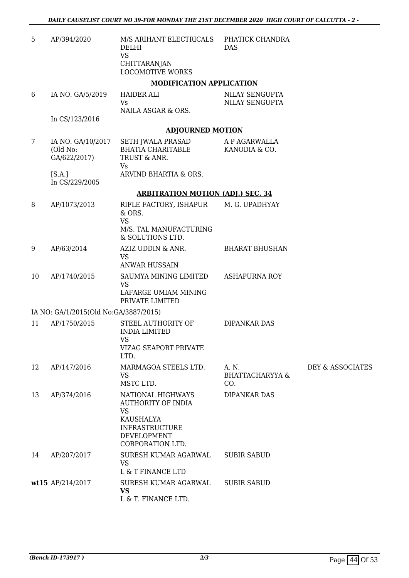| 5  | AP/394/2020                                   | M/S ARIHANT ELECTRICALS<br><b>DELHI</b><br><b>VS</b><br>CHITTARANJAN<br><b>LOCOMOTIVE WORKS</b>                                      | PHATICK CHANDRA<br><b>DAS</b>              |                  |
|----|-----------------------------------------------|--------------------------------------------------------------------------------------------------------------------------------------|--------------------------------------------|------------------|
|    |                                               | <b>MODIFICATION APPLICATION</b>                                                                                                      |                                            |                  |
| 6  | IA NO. GA/5/2019                              | <b>HAIDER ALI</b><br><b>Vs</b><br>NAILA ASGAR & ORS.                                                                                 | NILAY SENGUPTA<br>NILAY SENGUPTA           |                  |
|    | In CS/123/2016                                |                                                                                                                                      |                                            |                  |
|    |                                               | <b>ADJOURNED MOTION</b>                                                                                                              |                                            |                  |
| 7  | IA NO. GA/10/2017<br>(Old No:<br>GA/622/2017) | <b>SETH JWALA PRASAD</b><br><b>BHATIA CHARITABLE</b><br>TRUST & ANR.<br>Vs                                                           | A P AGARWALLA<br>KANODIA & CO.             |                  |
|    | [S.A.]<br>In CS/229/2005                      | ARVIND BHARTIA & ORS.                                                                                                                |                                            |                  |
|    |                                               | <b>ARBITRATION MOTION (ADJ.) SEC. 34</b>                                                                                             |                                            |                  |
| 8  | AP/1073/2013                                  | RIFLE FACTORY, ISHAPUR<br>& ORS.<br><b>VS</b><br>M/S. TAL MANUFACTURING<br>& SOLUTIONS LTD.                                          | M. G. UPADHYAY                             |                  |
| 9  | AP/63/2014                                    | AZIZ UDDIN & ANR.<br><b>VS</b><br><b>ANWAR HUSSAIN</b>                                                                               | <b>BHARAT BHUSHAN</b>                      |                  |
| 10 | AP/1740/2015                                  | SAUMYA MINING LIMITED<br><b>VS</b><br>LAFARGE UMIAM MINING<br>PRIVATE LIMITED                                                        | <b>ASHAPURNA ROY</b>                       |                  |
|    | IA NO: GA/1/2015(Old No:GA/3887/2015)         |                                                                                                                                      |                                            |                  |
| 11 | AP/1750/2015                                  | STEEL AUTHORITY OF<br><b>INDIA LIMITED</b><br>VS.<br>VIZAG SEAPORT PRIVATE<br>LTD.                                                   | <b>DIPANKAR DAS</b>                        |                  |
| 12 | AP/147/2016                                   | MARMAGOA STEELS LTD.<br>VS<br>MSTC LTD.                                                                                              | A. N.<br><b>BHATTACHARYYA &amp;</b><br>CO. | DEY & ASSOCIATES |
| 13 | AP/374/2016                                   | NATIONAL HIGHWAYS<br><b>AUTHORITY OF INDIA</b><br><b>VS</b><br>KAUSHALYA<br><b>INFRASTRUCTURE</b><br>DEVELOPMENT<br>CORPORATION LTD. | DIPANKAR DAS                               |                  |
| 14 | AP/207/2017                                   | SURESH KUMAR AGARWAL<br><b>VS</b><br>L & T FINANCE LTD                                                                               | <b>SUBIR SABUD</b>                         |                  |
|    | wt15 AP/214/2017                              | SURESH KUMAR AGARWAL<br><b>VS</b><br>L & T. FINANCE LTD.                                                                             | <b>SUBIR SABUD</b>                         |                  |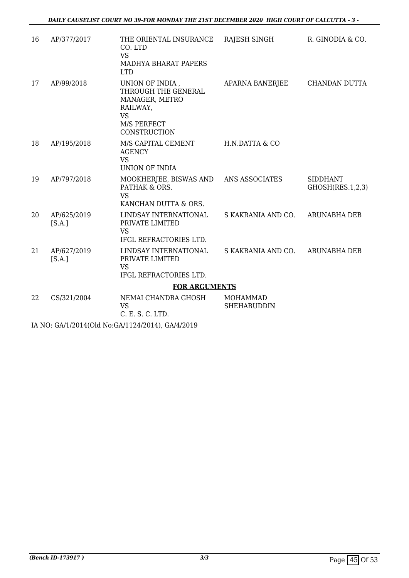| 16 | AP/377/2017           | THE ORIENTAL INSURANCE<br>CO. LTD<br><b>VS</b><br><b>MADHYA BHARAT PAPERS</b><br><b>LTD</b>                      | RAJESH SINGH                          | R. GINODIA & CO.                    |
|----|-----------------------|------------------------------------------------------------------------------------------------------------------|---------------------------------------|-------------------------------------|
| 17 | AP/99/2018            | UNION OF INDIA,<br>THROUGH THE GENERAL<br>MANAGER, METRO<br>RAILWAY,<br><b>VS</b><br>M/S PERFECT<br>CONSTRUCTION | APARNA BANERJEE                       | CHANDAN DUTTA                       |
| 18 | AP/195/2018           | M/S CAPITAL CEMENT<br><b>AGENCY</b><br><b>VS</b><br><b>UNION OF INDIA</b>                                        | H.N.DATTA & CO                        |                                     |
| 19 | AP/797/2018           | MOOKHERJEE, BISWAS AND ANS ASSOCIATES<br>PATHAK & ORS.<br><b>VS</b><br>KANCHAN DUTTA & ORS.                      |                                       | <b>SIDDHANT</b><br>GHOSH(RES.1,2,3) |
| 20 | AP/625/2019<br>[S.A.] | LINDSAY INTERNATIONAL<br>PRIVATE LIMITED<br><b>VS</b><br>IFGL REFRACTORIES LTD.                                  | S KAKRANIA AND CO. ARUNABHA DEB       |                                     |
| 21 | AP/627/2019<br>[S.A.] | LINDSAY INTERNATIONAL<br>PRIVATE LIMITED<br><b>VS</b><br>IFGL REFRACTORIES LTD.                                  | S KAKRANIA AND CO. ARUNABHA DEB       |                                     |
|    | <b>FOR ARGUMENTS</b>  |                                                                                                                  |                                       |                                     |
| 22 | CS/321/2004           | NEMAI CHANDRA GHOSH<br><b>VS</b><br>C. E. S. C. LTD.                                                             | <b>MOHAMMAD</b><br><b>SHEHABUDDIN</b> |                                     |
|    |                       |                                                                                                                  |                                       |                                     |

IA NO: GA/1/2014(Old No:GA/1124/2014), GA/4/2019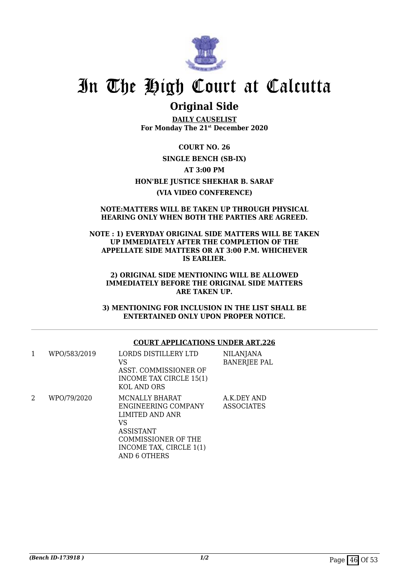

### **Original Side**

**DAILY CAUSELIST For Monday The 21st December 2020**

**COURT NO. 26 SINGLE BENCH (SB-IX) AT 3:00 PM HON'BLE JUSTICE SHEKHAR B. SARAF (VIA VIDEO CONFERENCE)**

#### **NOTE:MATTERS WILL BE TAKEN UP THROUGH PHYSICAL HEARING ONLY WHEN BOTH THE PARTIES ARE AGREED.**

#### **NOTE : 1) EVERYDAY ORIGINAL SIDE MATTERS WILL BE TAKEN UP IMMEDIATELY AFTER THE COMPLETION OF THE APPELLATE SIDE MATTERS OR AT 3:00 P.M. WHICHEVER IS EARLIER.**

#### **2) ORIGINAL SIDE MENTIONING WILL BE ALLOWED IMMEDIATELY BEFORE THE ORIGINAL SIDE MATTERS ARE TAKEN UP.**

**3) MENTIONING FOR INCLUSION IN THE LIST SHALL BE ENTERTAINED ONLY UPON PROPER NOTICE.**

#### **COURT APPLICATIONS UNDER ART.226**

| 1 | WPO/583/2019 | LORDS DISTILLERY LTD<br>VS<br>ASST. COMMISSIONER OF<br>INCOME TAX CIRCLE 15(1)<br>KOL AND ORS                                                               | <b>NILANJANA</b><br><b>BANERJEE PAL</b> |
|---|--------------|-------------------------------------------------------------------------------------------------------------------------------------------------------------|-----------------------------------------|
| 2 | WPO/79/2020  | MCNALLY BHARAT<br>ENGINEERING COMPANY<br>LIMITED AND ANR<br>VS<br><b>ASSISTANT</b><br>COMMISSIONER OF THE<br>INCOME TAX, CIRCLE 1(1)<br><b>AND 6 OTHERS</b> | A.K.DEY AND<br><b>ASSOCIATES</b>        |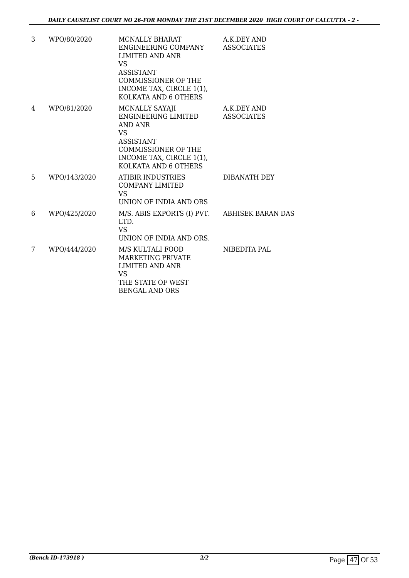| 3  | WPO/80/2020  | <b>MCNALLY BHARAT</b><br>ENGINEERING COMPANY<br>LIMITED AND ANR<br>VS.<br><b>ASSISTANT</b><br><b>COMMISSIONER OF THE</b><br>INCOME TAX, CIRCLE 1(1),<br>KOLKATA AND 6 OTHERS | A.K.DEY AND<br><b>ASSOCIATES</b> |
|----|--------------|------------------------------------------------------------------------------------------------------------------------------------------------------------------------------|----------------------------------|
| 4  | WPO/81/2020  | MCNALLY SAYAJI<br>ENGINEERING LIMITED<br><b>AND ANR</b><br><b>VS</b><br><b>ASSISTANT</b><br><b>COMMISSIONER OF THE</b><br>INCOME TAX, CIRCLE 1(1),<br>KOLKATA AND 6 OTHERS   | A.K.DEY AND<br><b>ASSOCIATES</b> |
| 5. | WPO/143/2020 | ATIBIR INDUSTRIES<br>COMPANY LIMITED<br><b>VS</b><br>UNION OF INDIA AND ORS                                                                                                  | DIBANATH DEY                     |
| 6  | WPO/425/2020 | M/S. ABIS EXPORTS (I) PVT. ABHISEK BARAN DAS<br>LTD.<br><b>VS</b><br>UNION OF INDIA AND ORS.                                                                                 |                                  |
| 7  | WPO/444/2020 | M/S KULTALI FOOD<br>MARKETING PRIVATE<br><b>LIMITED AND ANR</b><br><b>VS</b><br>THE STATE OF WEST<br><b>BENGAL AND ORS</b>                                                   | NIBEDITA PAL                     |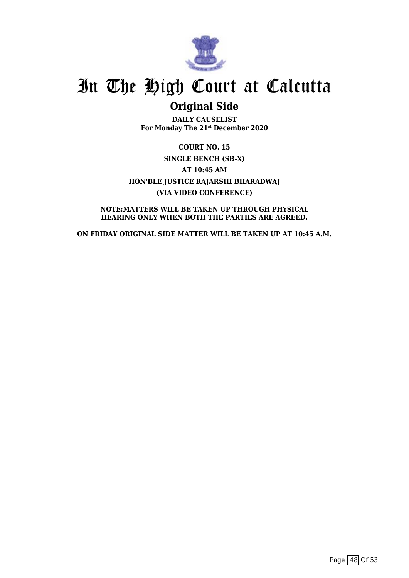

### **Original Side**

**DAILY CAUSELIST For Monday The 21st December 2020**

**COURT NO. 15 SINGLE BENCH (SB-X) AT 10:45 AM HON'BLE JUSTICE RAJARSHI BHARADWAJ (VIA VIDEO CONFERENCE)**

**NOTE:MATTERS WILL BE TAKEN UP THROUGH PHYSICAL HEARING ONLY WHEN BOTH THE PARTIES ARE AGREED.**

**ON FRIDAY ORIGINAL SIDE MATTER WILL BE TAKEN UP AT 10:45 A.M.**

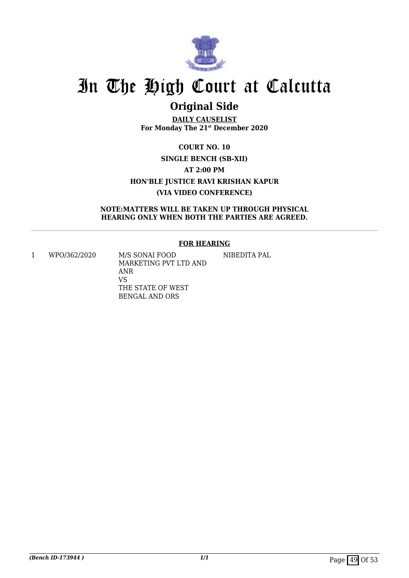

## **Original Side**

**DAILY CAUSELIST For Monday The 21st December 2020**

**COURT NO. 10 SINGLE BENCH (SB-XII) AT 2:00 PM HON'BLE JUSTICE RAVI KRISHAN KAPUR (VIA VIDEO CONFERENCE)**

#### **NOTE:MATTERS WILL BE TAKEN UP THROUGH PHYSICAL HEARING ONLY WHEN BOTH THE PARTIES ARE AGREED.**

#### **FOR HEARING**

1 WPO/362/2020 M/S SONAI FOOD

MARKETING PVT LTD AND ANR VS THE STATE OF WEST BENGAL AND ORS

NIBEDITA PAL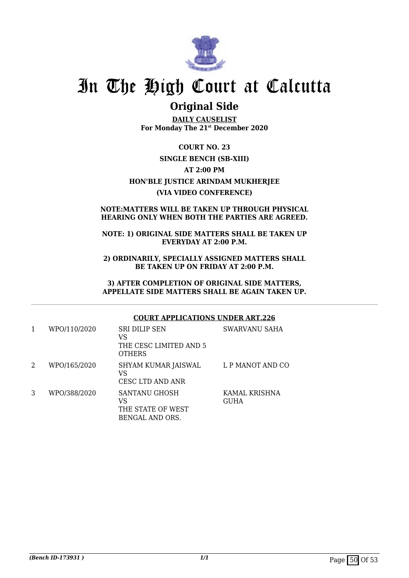

### **Original Side**

**DAILY CAUSELIST For Monday The 21st December 2020**

**COURT NO. 23 SINGLE BENCH (SB-XIII) AT 2:00 PM HON'BLE JUSTICE ARINDAM MUKHERJEE (VIA VIDEO CONFERENCE)**

#### **NOTE:MATTERS WILL BE TAKEN UP THROUGH PHYSICAL HEARING ONLY WHEN BOTH THE PARTIES ARE AGREED.**

#### **NOTE: 1) ORIGINAL SIDE MATTERS SHALL BE TAKEN UP EVERYDAY AT 2:00 P.M.**

**2) ORDINARILY, SPECIALLY ASSIGNED MATTERS SHALL BE TAKEN UP ON FRIDAY AT 2:00 P.M.**

**3) AFTER COMPLETION OF ORIGINAL SIDE MATTERS, APPELLATE SIDE MATTERS SHALL BE AGAIN TAKEN UP.**

#### **COURT APPLICATIONS UNDER ART.226**

| 1 | WPO/110/2020 | <b>SRI DILIP SEN</b><br>VS<br>THE CESC LIMITED AND 5<br><b>OTHERS</b> | SWARVANU SAHA                |
|---|--------------|-----------------------------------------------------------------------|------------------------------|
| 2 | WPO/165/2020 | SHYAM KUMAR JAISWAL<br>VS<br>CESC LTD AND ANR                         | L P MANOT AND CO             |
| 3 | WPO/388/2020 | SANTANU GHOSH<br>VS<br>THE STATE OF WEST<br>BENGAL AND ORS.           | KAMAL KRISHNA<br><b>GUHA</b> |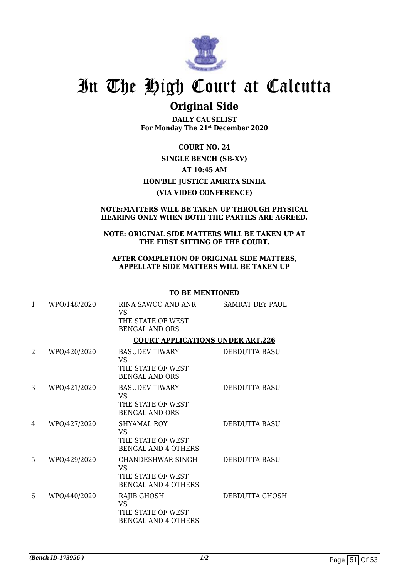

### **Original Side**

**DAILY CAUSELIST For Monday The 21st December 2020**

**COURT NO. 24 SINGLE BENCH (SB-XV) AT 10:45 AM HON'BLE JUSTICE AMRITA SINHA (VIA VIDEO CONFERENCE)**

#### **NOTE:MATTERS WILL BE TAKEN UP THROUGH PHYSICAL HEARING ONLY WHEN BOTH THE PARTIES ARE AGREED.**

#### **NOTE: ORIGINAL SIDE MATTERS WILL BE TAKEN UP AT THE FIRST SITTING OF THE COURT.**

#### **AFTER COMPLETION OF ORIGINAL SIDE MATTERS, APPELLATE SIDE MATTERS WILL BE TAKEN UP**

#### **TO BE MENTIONED**

| 1 | WPO/148/2020 | RINA SAWOO AND ANR<br><b>VS</b><br>THE STATE OF WEST<br><b>BENGAL AND ORS</b>     | <b>SAMRAT DEY PAUL</b> |
|---|--------------|-----------------------------------------------------------------------------------|------------------------|
|   |              | <b>COURT APPLICATIONS UNDER ART.226</b>                                           |                        |
| 2 | WPO/420/2020 | <b>BASUDEV TIWARY</b><br>VS.<br>THE STATE OF WEST<br><b>BENGAL AND ORS</b>        | <b>DEBDUTTA BASU</b>   |
| 3 | WPO/421/2020 | <b>BASUDEV TIWARY</b><br>VS.<br>THE STATE OF WEST<br><b>BENGAL AND ORS</b>        | DEBDUTTA BASU          |
| 4 | WPO/427/2020 | SHYAMAL ROY<br>VS.<br>THE STATE OF WEST<br><b>BENGAL AND 4 OTHERS</b>             | <b>DEBDUTTA BASU</b>   |
| 5 | WPO/429/2020 | CHANDESHWAR SINGH<br><b>VS</b><br>THE STATE OF WEST<br><b>BENGAL AND 4 OTHERS</b> | DEBDUTTA BASU          |
| 6 | WPO/440/2020 | RAJIB GHOSH<br><b>VS</b><br>THE STATE OF WEST<br><b>BENGAL AND 4 OTHERS</b>       | DEBDUTTA GHOSH         |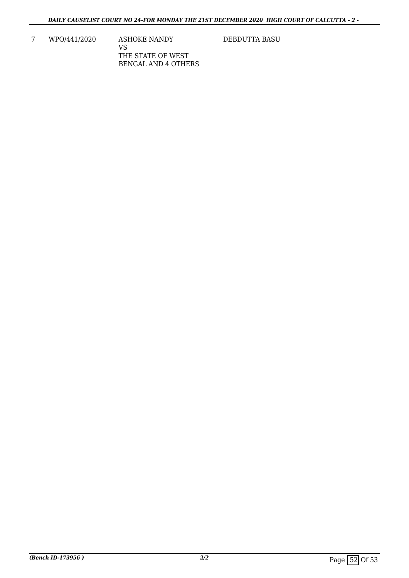7 WPO/441/2020 ASHOKE NANDY VS THE STATE OF WEST BENGAL AND 4 OTHERS

DEBDUTTA BASU